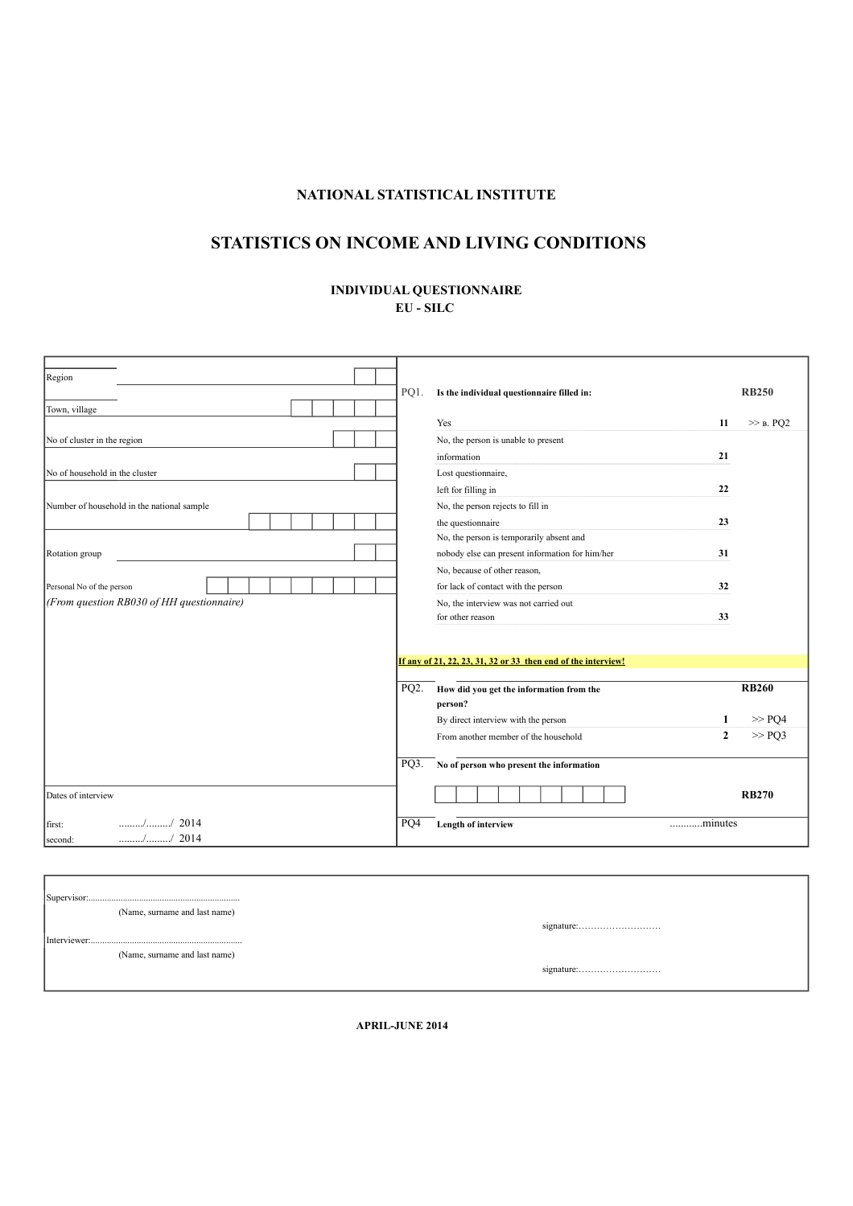## **NATIONAL STATISTICAL INSTITUTE**

## **STATISTICS ON INCOME AND LIVING CONDITIONS**

## **INDIVIDUAL QUESTIONNAIRE ЕU - SILC**

| Region                                                     | PQ1.<br>Is the individual questionnaire filled in:            | <b>RB250</b> |
|------------------------------------------------------------|---------------------------------------------------------------|--------------|
| Town, village                                              |                                                               |              |
|                                                            | Yes<br>11                                                     | $\gg$ B. PQ2 |
| No of cluster in the region                                | No, the person is unable to present                           |              |
|                                                            | 21<br>information                                             |              |
| No of household in the cluster                             | Lost questionnaire,                                           |              |
|                                                            | 22<br>left for filling in                                     |              |
| Number of household in the national sample                 | No, the person rejects to fill in                             |              |
|                                                            | 23<br>the questionnaire                                       |              |
|                                                            | No, the person is temporarily absent and                      |              |
| Rotation group                                             | nobody else can present information for him/her<br>31         |              |
|                                                            | No, because of other reason,                                  |              |
| Personal No of the person                                  | 32<br>for lack of contact with the person                     |              |
| (From question $RB030$ of HH questionnaire)                | No, the interview was not carried out                         |              |
|                                                            | 33<br>for other reason                                        |              |
|                                                            |                                                               |              |
|                                                            | If any of 21, 22, 23, 31, 32 or 33 then end of the interview! |              |
|                                                            |                                                               |              |
|                                                            | How did you get the information from the<br>PO <sub>2</sub> . | <b>RB260</b> |
|                                                            | person?                                                       |              |
|                                                            | 1<br>By direct interview with the person                      | >> PQ4       |
|                                                            | $\mathbf{2}$<br>From another member of the household          | >> PQ3       |
|                                                            |                                                               |              |
|                                                            | PQ3.<br>No of person who present the information              |              |
| Dates of interview                                         |                                                               | <b>RB270</b> |
| $\ldots \ldots \ldots \ldots \ldots \ldots$ 2014<br>first: | minutes<br>PO <sub>4</sub><br>Length of interview             |              |
| $\ldots$ / $\ldots$ / 2014<br>second:                      |                                                               |              |

| (Name, surname and last name) |  |
|-------------------------------|--|
|                               |  |
|                               |  |
| (Name, surname and last name) |  |
|                               |  |
|                               |  |

**APRIL-JUNE 2014**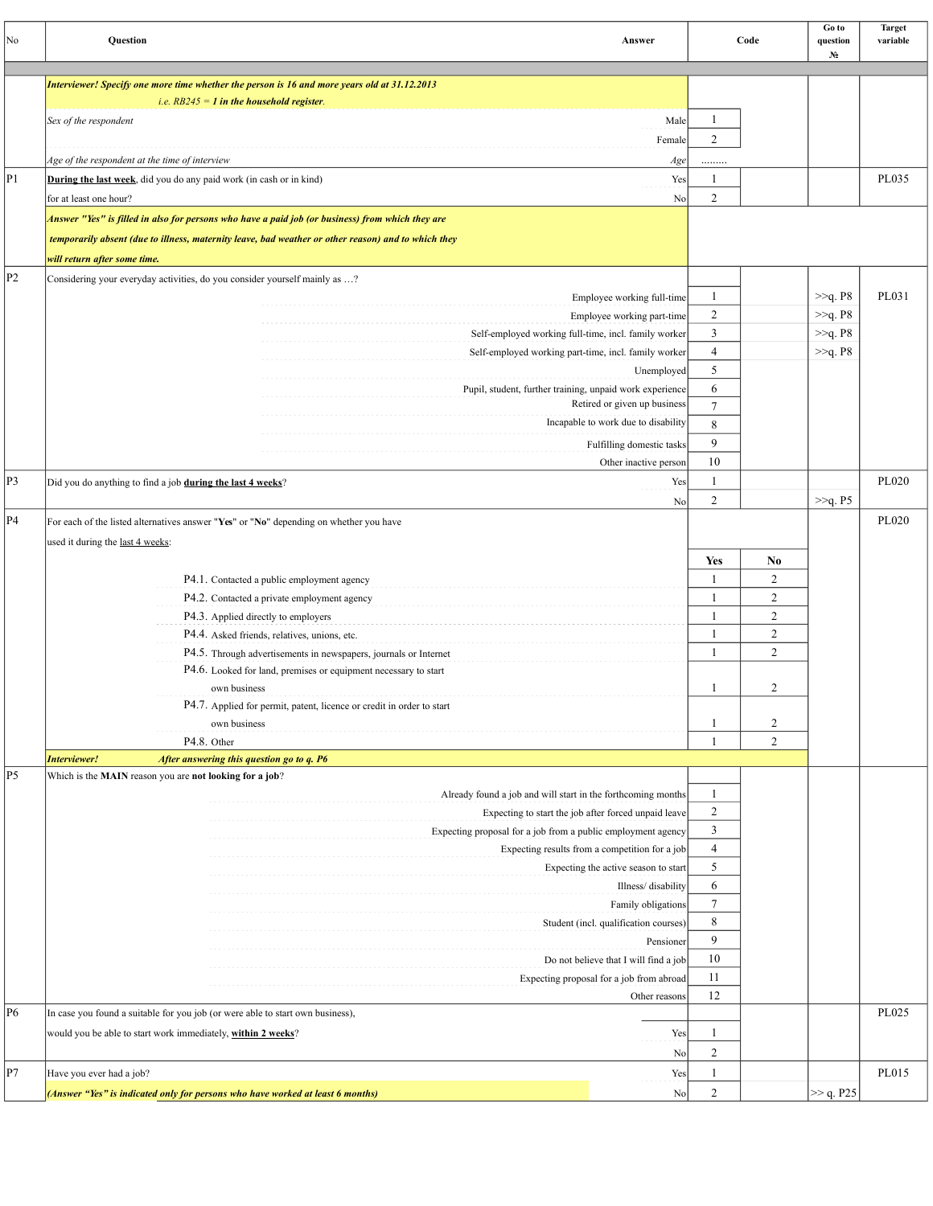| No | Question<br>Answer                                                                                                                                 |                | Code           | Go to<br>question<br>N <sub>2</sub> | <b>Target</b><br>variable |
|----|----------------------------------------------------------------------------------------------------------------------------------------------------|----------------|----------------|-------------------------------------|---------------------------|
|    |                                                                                                                                                    |                |                |                                     |                           |
|    | Interviewer! Specify one more time whether the person is 16 and more years old at 31.12.2013<br><i>i.e.</i> $RB245 = 1$ in the household register. |                |                |                                     |                           |
|    |                                                                                                                                                    | $\mathbf{1}$   |                |                                     |                           |
|    | Sex of the respondent<br>Male                                                                                                                      |                |                |                                     |                           |
|    | Female                                                                                                                                             | $\overline{2}$ |                |                                     |                           |
|    | Age of the respondent at the time of interview<br>Age                                                                                              | .              |                |                                     |                           |
| P1 | Yes<br>During the last week, did you do any paid work (in cash or in kind)                                                                         | -1             |                |                                     | PL035                     |
|    | No<br>for at least one hour?                                                                                                                       | $\overline{c}$ |                |                                     |                           |
|    | Answer "Yes" is filled in also for persons who have a paid job (or business) from which they are                                                   |                |                |                                     |                           |
|    | temporarily absent (due to illness, maternity leave, bad weather or other reason) and to which they                                                |                |                |                                     |                           |
|    | will return after some time.                                                                                                                       |                |                |                                     |                           |
| P2 | Considering your everyday activities, do you consider yourself mainly as ?                                                                         |                |                |                                     |                           |
|    | Employee working full-time                                                                                                                         | $\mathbf{1}$   |                | >>q. P8                             | PL031                     |
|    | Employee working part-time                                                                                                                         | $\overline{c}$ |                | >>q. P8                             |                           |
|    | Self-employed working full-time, incl. family worker                                                                                               | 3              |                | >>q. P8                             |                           |
|    | Self-employed working part-time, incl. family worker                                                                                               | 4              |                | >>q. P8                             |                           |
|    | Unemployed                                                                                                                                         | 5              |                |                                     |                           |
|    | Pupil, student, further training, unpaid work experience                                                                                           | 6              |                |                                     |                           |
|    | Retired or given up business                                                                                                                       | $\overline{7}$ |                |                                     |                           |
|    | Incapable to work due to disability                                                                                                                | 8              |                |                                     |                           |
|    | Fulfilling domestic tasks                                                                                                                          | 9              |                |                                     |                           |
|    | Other inactive person                                                                                                                              | 10             |                |                                     |                           |
| P3 | Did you do anything to find a job during the last 4 weeks?<br>Yes                                                                                  | $\mathbf{1}$   |                |                                     | PL020                     |
|    | No                                                                                                                                                 | $\overline{2}$ |                | >>q. P5                             |                           |
| P4 | For each of the listed alternatives answer "Yes" or "No" depending on whether you have                                                             |                |                |                                     | PL020                     |
|    |                                                                                                                                                    |                |                |                                     |                           |
|    | used it during the last 4 weeks:                                                                                                                   |                |                |                                     |                           |
|    |                                                                                                                                                    | Yes            | No             |                                     |                           |
|    | P4.1. Contacted a public employment agency                                                                                                         | $\mathbf{1}$   | 2              |                                     |                           |
|    | P4.2. Contacted a private employment agency                                                                                                        | $\mathbf{1}$   | $\overline{2}$ |                                     |                           |
|    | P4.3. Applied directly to employers                                                                                                                | $\mathbf{1}$   | $\overline{2}$ |                                     |                           |
|    | P4.4. Asked friends, relatives, unions, etc.                                                                                                       | 1              | $\overline{2}$ |                                     |                           |
|    | P4.5. Through advertisements in newspapers, journals or Internet                                                                                   | $\mathbf{1}$   | $\overline{2}$ |                                     |                           |
|    | P4.6. Looked for land, premises or equipment necessary to start                                                                                    |                |                |                                     |                           |
|    | own business<br>P4.7. Applied for permit, patent, licence or credit in order to start                                                              | -1             | 2              |                                     |                           |
|    | own business                                                                                                                                       | -1             | 2              |                                     |                           |
|    | P4.8. Other                                                                                                                                        | $\mathbf{1}$   | 2              |                                     |                           |
|    | Interviewer!<br>After answering this question go to q. P6                                                                                          |                |                |                                     |                           |
| P5 | Which is the MAIN reason you are not looking for a job?                                                                                            |                |                |                                     |                           |
|    | Already found a job and will start in the forthcoming months                                                                                       | 1              |                |                                     |                           |
|    | Expecting to start the job after forced unpaid leave                                                                                               | $\overline{c}$ |                |                                     |                           |
|    | Expecting proposal for a job from a public employment agency                                                                                       | 3              |                |                                     |                           |
|    | Expecting results from a competition for a job                                                                                                     | $\overline{4}$ |                |                                     |                           |
|    | Expecting the active season to start                                                                                                               | 5              |                |                                     |                           |
|    | Illness/disability                                                                                                                                 | 6              |                |                                     |                           |
|    | Family obligations                                                                                                                                 | $\tau$         |                |                                     |                           |
|    | Student (incl. qualification courses)                                                                                                              | 8              |                |                                     |                           |
|    | Pensioner                                                                                                                                          | 9              |                |                                     |                           |
|    | Do not believe that I will find a job                                                                                                              | 10             |                |                                     |                           |
|    | Expecting proposal for a job from abroad                                                                                                           | 11             |                |                                     |                           |
|    | Other reasons                                                                                                                                      | 12             |                |                                     |                           |
| P6 | In case you found a suitable for you job (or were able to start own business),                                                                     |                |                |                                     | PL025                     |
|    | would you be able to start work immediately, within 2 weeks?<br>Yes                                                                                | 1              |                |                                     |                           |
|    | No                                                                                                                                                 | $\overline{c}$ |                |                                     |                           |
| P7 | Have you ever had a job?<br>Yes                                                                                                                    | -1             |                |                                     | PL015                     |
|    |                                                                                                                                                    | $\overline{2}$ |                |                                     |                           |
|    | (Answer "Yes" is indicated only for persons who have worked at least 6 months)<br>No                                                               |                |                | >> q. P25                           |                           |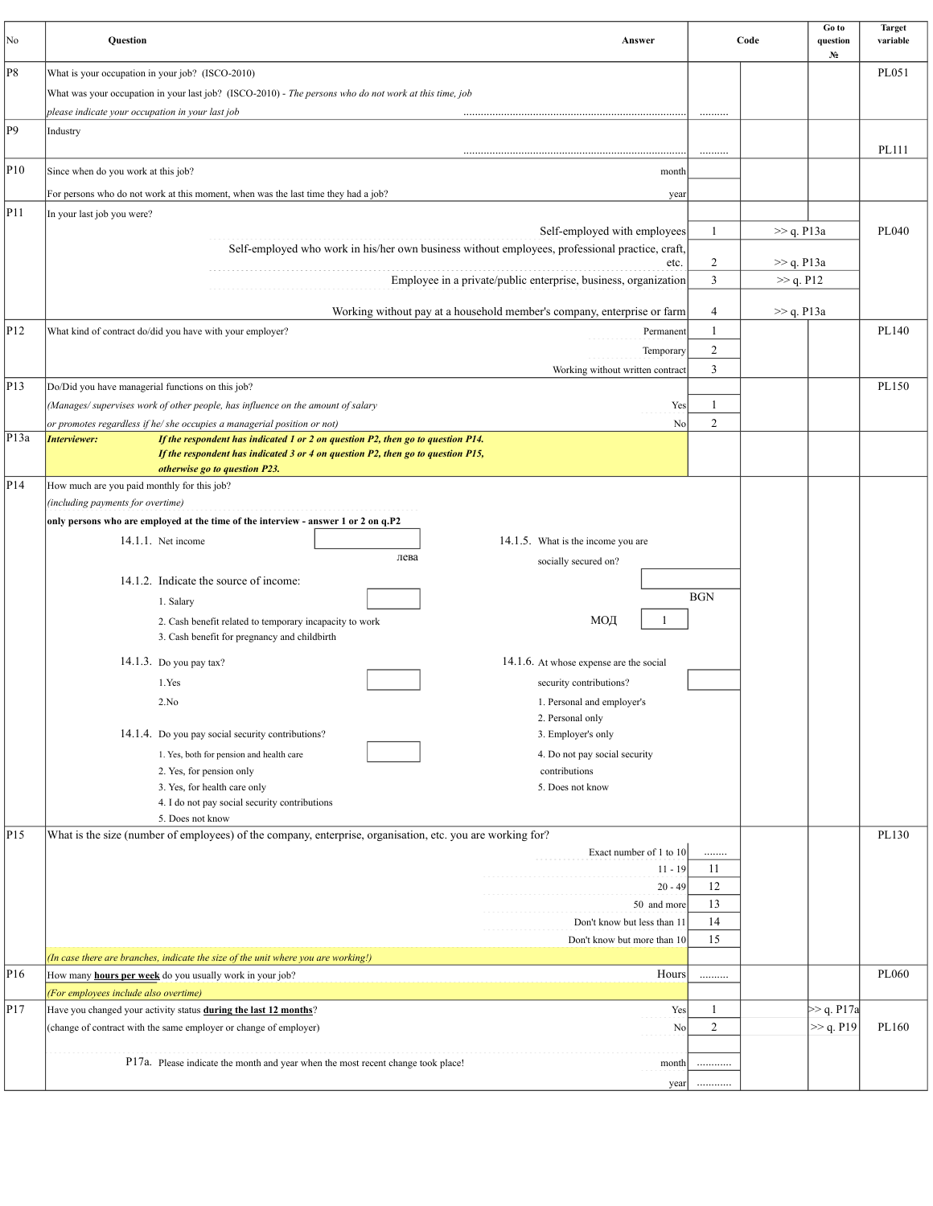| No               | Question<br>Answer                                                                                               |                  | Code          | Go to<br>question<br>N <sub>2</sub> | <b>Target</b><br>variable |
|------------------|------------------------------------------------------------------------------------------------------------------|------------------|---------------|-------------------------------------|---------------------------|
| P8               | What is your occupation in your job? (ISCO-2010)                                                                 |                  |               |                                     | PL051                     |
|                  | What was your occupation in your last job? (ISCO-2010) - The persons who do not work at this time, job           |                  |               |                                     |                           |
|                  | please indicate your occupation in your last job                                                                 |                  |               |                                     |                           |
| P9               | Industry                                                                                                         |                  |               |                                     | PL111                     |
| P <sub>10</sub>  | Since when do you work at this job?<br>month                                                                     |                  |               |                                     |                           |
|                  | For persons who do not work at this moment, when was the last time they had a job?<br>year                       |                  |               |                                     |                           |
| P11              | In your last job you were?                                                                                       |                  |               |                                     |                           |
|                  | Self-employed with employees                                                                                     | $\mathbf{1}$     | $\gg$ q. P13a |                                     | PL040                     |
|                  | Self-employed who work in his/her own business without employees, professional practice, craft,                  |                  |               |                                     |                           |
|                  | etc.                                                                                                             | 2                | $\gg$ q. P13a |                                     |                           |
|                  | Employee in a private/public enterprise, business, organization                                                  | 3                | >> q. P12     |                                     |                           |
|                  | Working without pay at a household member's company, enterprise or farm                                          | 4                | $\gg$ q. P13a |                                     |                           |
| P <sub>12</sub>  | What kind of contract do/did you have with your employer?<br>Permanent                                           | $\mathbf{1}$     |               |                                     | PL140                     |
|                  | Temporary                                                                                                        | $\boldsymbol{2}$ |               |                                     |                           |
|                  | Working without written contract                                                                                 | 3                |               |                                     |                           |
| P13              | Do/Did you have managerial functions on this job?                                                                |                  |               |                                     | PL150                     |
|                  | (Manages/supervises work of other people, has influence on the amount of salary<br>Yes                           | $\mathbf{1}$     |               |                                     |                           |
|                  | or promotes regardless if he/ she occupies a managerial position or not)<br>No                                   | $\boldsymbol{2}$ |               |                                     |                           |
| P <sub>13a</sub> | If the respondent has indicated 1 or 2 on question P2, then go to question P14.<br>Interviewer:                  |                  |               |                                     |                           |
|                  | If the respondent has indicated 3 or 4 on question P2, then go to question P15,<br>otherwise go to question P23. |                  |               |                                     |                           |
| P14              | How much are you paid monthly for this job?                                                                      |                  |               |                                     |                           |
|                  | (including payments for overtime)                                                                                |                  |               |                                     |                           |
|                  | only persons who are employed at the time of the interview - answer 1 or 2 on q.P2                               |                  |               |                                     |                           |
|                  | 14.1.1. Net income<br>14.1.5. What is the income you are                                                         |                  |               |                                     |                           |
|                  | лева<br>socially secured on?                                                                                     |                  |               |                                     |                           |
|                  | 14.1.2. Indicate the source of income:                                                                           |                  |               |                                     |                           |
|                  | 1. Salary                                                                                                        | <b>BGN</b>       |               |                                     |                           |
|                  | МОД<br>2. Cash benefit related to temporary incapacity to work<br>3. Cash benefit for pregnancy and childbirth   |                  |               |                                     |                           |
|                  | 14.1.3. Do you pay tax?<br>14.1.6. At whose expense are the social                                               |                  |               |                                     |                           |
|                  | 1.Yes<br>security contributions?                                                                                 |                  |               |                                     |                           |
|                  | 1. Personal and employer's<br>2.No                                                                               |                  |               |                                     |                           |
|                  | 2. Personal only                                                                                                 |                  |               |                                     |                           |
|                  | 14.1.4. Do you pay social security contributions?<br>3. Employer's only                                          |                  |               |                                     |                           |
|                  | 4. Do not pay social security<br>1. Yes, both for pension and health care                                        |                  |               |                                     |                           |
|                  | contributions<br>2. Yes, for pension only                                                                        |                  |               |                                     |                           |
|                  | 3. Yes, for health care only<br>5. Does not know<br>4. I do not pay social security contributions                |                  |               |                                     |                           |
|                  | 5. Does not know                                                                                                 |                  |               |                                     |                           |
| P15              | What is the size (number of employees) of the company, enterprise, organisation, etc. you are working for?       |                  |               |                                     | PL130                     |
|                  | Exact number of 1 to $10$                                                                                        | .                |               |                                     |                           |
|                  | $11 - 19$                                                                                                        | 11               |               |                                     |                           |
|                  | $20 - 49$                                                                                                        | 12               |               |                                     |                           |
|                  | 50 and more<br>Don't know but less than 11                                                                       | 13<br>14         |               |                                     |                           |
|                  | Don't know but more than 10                                                                                      | 15               |               |                                     |                           |
|                  | (In case there are branches, indicate the size of the unit where you are working!)                               |                  |               |                                     |                           |
| P <sub>16</sub>  | Hours<br>How many <b>hours per week</b> do you usually work in your job?                                         | .                |               |                                     | <b>PL060</b>              |
|                  | (For employees include also overtime)                                                                            |                  |               |                                     |                           |
| P17              | Have you changed your activity status during the last 12 months?<br>Yes                                          | 1                |               | $\geq q.$ P17a                      |                           |
|                  | (change of contract with the same employer or change of employer)<br>No                                          | 2                |               | $\gg$ q. P19                        | PL160                     |
|                  |                                                                                                                  |                  |               |                                     |                           |
|                  | P17a. Please indicate the month and year when the most recent change took place!<br>month                        | .                |               |                                     |                           |
|                  | year                                                                                                             |                  |               |                                     |                           |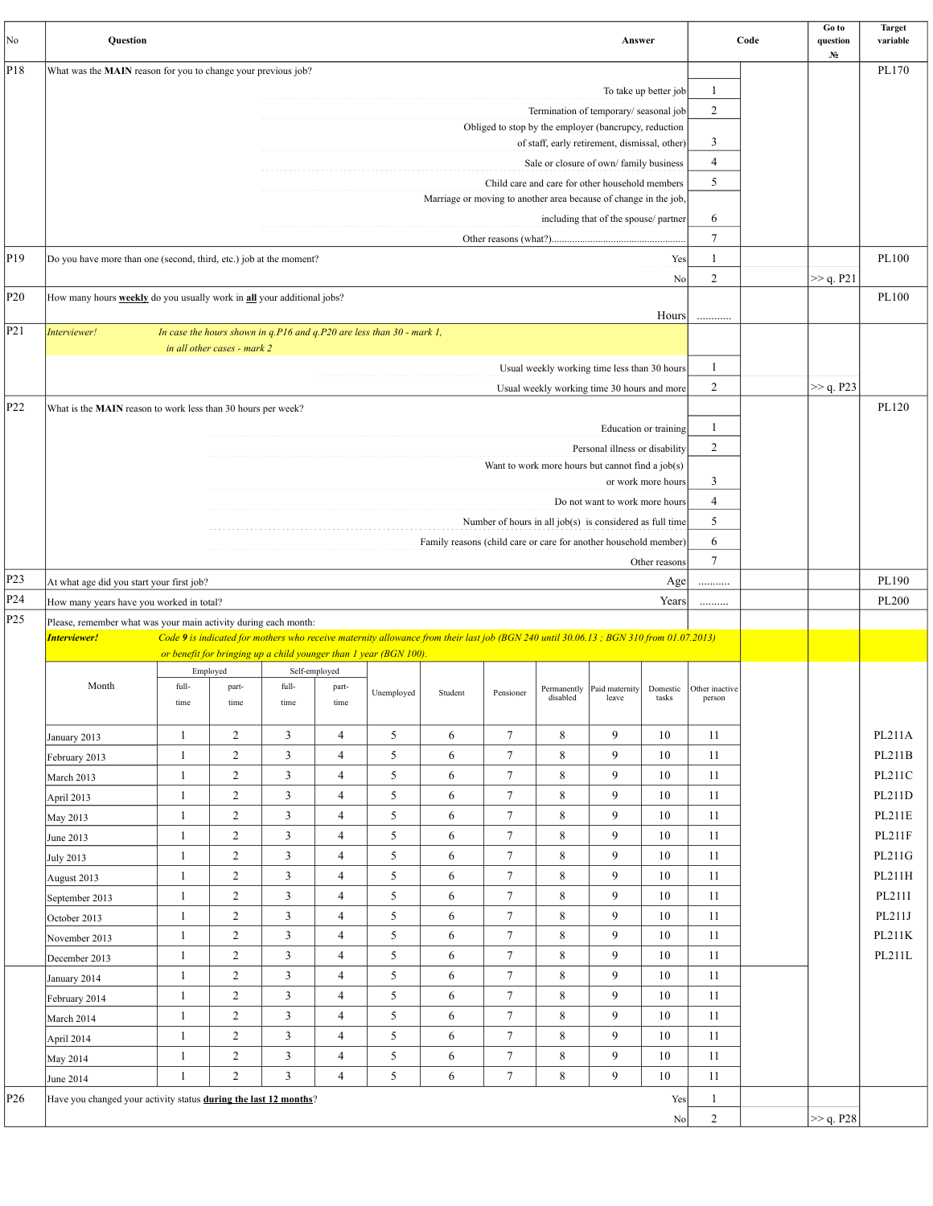| No              | Question                                                                                      |               |                             |                |                |                                                                   |                                                                                                                                       |                 |                                                   | Answer                                                   |                       |                          | Code | Go to<br>question<br>N <sub>2</sub> | <b>Target</b><br>variable |
|-----------------|-----------------------------------------------------------------------------------------------|---------------|-----------------------------|----------------|----------------|-------------------------------------------------------------------|---------------------------------------------------------------------------------------------------------------------------------------|-----------------|---------------------------------------------------|----------------------------------------------------------|-----------------------|--------------------------|------|-------------------------------------|---------------------------|
| P18             | What was the MAIN reason for you to change your previous job?                                 |               |                             |                |                |                                                                   |                                                                                                                                       |                 |                                                   |                                                          |                       |                          |      |                                     | PL170                     |
|                 |                                                                                               |               |                             |                |                |                                                                   |                                                                                                                                       |                 |                                                   |                                                          | To take up better job | 1                        |      |                                     |                           |
|                 |                                                                                               |               |                             |                |                |                                                                   |                                                                                                                                       |                 |                                                   | Termination of temporary/seasonal job                    |                       | $\overline{2}$           |      |                                     |                           |
|                 |                                                                                               |               |                             |                |                |                                                                   |                                                                                                                                       |                 |                                                   | Obliged to stop by the employer (bancrupcy, reduction    |                       | 3                        |      |                                     |                           |
|                 | of staff, early retirement, dismissal, other)<br>Sale or closure of own/family business       |               |                             |                |                |                                                                   |                                                                                                                                       |                 | $\overline{4}$                                    |                                                          |                       |                          |      |                                     |                           |
|                 |                                                                                               |               |                             |                |                |                                                                   |                                                                                                                                       |                 |                                                   |                                                          |                       | 5                        |      |                                     |                           |
|                 |                                                                                               |               |                             |                |                |                                                                   | Marriage or moving to another area because of change in the job,                                                                      |                 |                                                   | Child care and care for other household members          |                       |                          |      |                                     |                           |
|                 | including that of the spouse/ partner                                                         |               |                             |                |                |                                                                   |                                                                                                                                       |                 |                                                   | 6                                                        |                       |                          |      |                                     |                           |
|                 |                                                                                               |               |                             |                |                |                                                                   |                                                                                                                                       |                 | $\overline{7}$                                    |                                                          |                       |                          |      |                                     |                           |
| P19             | Do you have more than one (second, third, etc.) job at the moment?                            |               |                             |                |                |                                                                   |                                                                                                                                       |                 |                                                   |                                                          | Yes                   | $\mathbf{1}$             |      |                                     | PL100                     |
|                 |                                                                                               |               |                             |                |                |                                                                   |                                                                                                                                       |                 |                                                   |                                                          | No                    | $\overline{2}$           |      | >> q. P21                           |                           |
| P <sub>20</sub> | How many hours <b>weekly</b> do you usually work in <b>all</b> your additional jobs?<br>Hours |               |                             |                |                |                                                                   |                                                                                                                                       |                 |                                                   |                                                          | PL100                 |                          |      |                                     |                           |
| P21             | In case the hours shown in $q.P16$ and $q.P20$ are less than $30$ - mark 1,<br>Interviewer!   |               |                             |                |                | .                                                                 |                                                                                                                                       |                 |                                                   |                                                          |                       |                          |      |                                     |                           |
|                 |                                                                                               |               | in all other cases - mark 2 |                |                |                                                                   |                                                                                                                                       |                 |                                                   |                                                          |                       |                          |      |                                     |                           |
|                 |                                                                                               |               |                             |                |                |                                                                   |                                                                                                                                       |                 |                                                   | Usual weekly working time less than 30 hours             |                       | 1                        |      |                                     |                           |
|                 |                                                                                               |               |                             |                |                |                                                                   |                                                                                                                                       |                 |                                                   | Usual weekly working time 30 hours and more              |                       | $\overline{2}$           |      | >> q. P23                           |                           |
| P22             | What is the MAIN reason to work less than 30 hours per week?                                  |               |                             |                |                |                                                                   |                                                                                                                                       |                 |                                                   |                                                          |                       |                          |      |                                     | PL120                     |
|                 |                                                                                               |               |                             |                |                |                                                                   |                                                                                                                                       |                 |                                                   |                                                          | Education or training | $\mathbf{1}$             |      |                                     |                           |
|                 |                                                                                               |               |                             |                |                |                                                                   |                                                                                                                                       |                 |                                                   | Personal illness or disability                           |                       | $\overline{2}$           |      |                                     |                           |
|                 |                                                                                               |               |                             |                |                |                                                                   |                                                                                                                                       |                 |                                                   | Want to work more hours but cannot find a job(s)         |                       |                          |      |                                     |                           |
|                 |                                                                                               |               |                             |                |                |                                                                   |                                                                                                                                       |                 |                                                   |                                                          | or work more hours    | 3                        |      |                                     |                           |
|                 |                                                                                               |               |                             |                |                |                                                                   |                                                                                                                                       |                 |                                                   | Do not want to work more hours                           |                       | $\overline{4}$           |      |                                     |                           |
|                 |                                                                                               |               |                             |                |                |                                                                   |                                                                                                                                       |                 |                                                   | Number of hours in all job(s) is considered as full time |                       | 5                        |      |                                     |                           |
|                 |                                                                                               |               |                             |                |                |                                                                   | Family reasons (child care or care for another household member)                                                                      |                 |                                                   |                                                          |                       | 6                        |      |                                     |                           |
| P <sub>23</sub> |                                                                                               |               |                             |                |                |                                                                   |                                                                                                                                       |                 |                                                   |                                                          | Other reasons         | $\overline{7}$           |      |                                     |                           |
| P24             | At what age did you start your first job?                                                     |               |                             |                |                |                                                                   |                                                                                                                                       |                 |                                                   |                                                          | Age                   |                          |      |                                     | PL190<br>PL200            |
| P <sub>25</sub> | How many years have you worked in total?                                                      |               |                             |                |                |                                                                   |                                                                                                                                       |                 |                                                   |                                                          | Years                 |                          |      |                                     |                           |
|                 | Please, remember what was your main activity during each month:<br>Interviewer!               |               |                             |                |                |                                                                   | Code 9 is indicated for mothers who receive maternity allowance from their last job (BGN 240 until 30.06.13; BGN 310 from 01.07.2013) |                 |                                                   |                                                          |                       |                          |      |                                     |                           |
|                 |                                                                                               |               |                             |                |                | or benefit for bringing up a child younger than 1 year (BGN 100). |                                                                                                                                       |                 |                                                   |                                                          |                       |                          |      |                                     |                           |
|                 |                                                                                               | Employed      |                             | Self-employed  |                |                                                                   |                                                                                                                                       |                 |                                                   |                                                          |                       |                          |      |                                     |                           |
|                 | Month                                                                                         | full-<br>time | part-<br>time               | full-<br>time  | part-<br>time  | Unemployed                                                        | Student                                                                                                                               | Pensioner       | Permanently   Paid maternity<br>disabled<br>leave |                                                          | Domestic<br>tasks     | Other inactive<br>person |      |                                     |                           |
|                 |                                                                                               |               |                             |                |                |                                                                   |                                                                                                                                       |                 |                                                   |                                                          |                       |                          |      |                                     |                           |
|                 | January 2013                                                                                  | $\mathbf{1}$  | 2                           | 3              | $\overline{4}$ | 5                                                                 | 6                                                                                                                                     | $\tau$          | 8                                                 | 9                                                        | 10                    | 11                       |      |                                     | <b>PL211A</b>             |
|                 | February 2013                                                                                 | $\mathbf{1}$  | $\overline{c}$              | 3              | 4              | 5                                                                 | 6                                                                                                                                     | 7               | 8                                                 | 9                                                        | 10                    | 11                       |      |                                     | PL211B                    |
|                 | March 2013                                                                                    | $\mathbf{1}$  | $\overline{2}$              | 3              | 4              | 5                                                                 | 6                                                                                                                                     | $7\overline{ }$ | 8                                                 | 9                                                        | 10                    | 11                       |      |                                     | PL211C                    |
|                 | April 2013                                                                                    | $\mathbf{1}$  | $\overline{c}$              | 3              | $\overline{4}$ | 5                                                                 | 6                                                                                                                                     | $\tau$          | 8                                                 | 9                                                        | 10                    | 11                       |      |                                     | PL211D                    |
|                 | May 2013                                                                                      | $\mathbf{1}$  | 2                           | 3              | $\overline{4}$ | 5                                                                 | 6                                                                                                                                     | $\tau$          | 8                                                 | 9                                                        | 10                    | 11                       |      |                                     | PL211E                    |
|                 | June 2013                                                                                     | $\mathbf{1}$  | $\overline{2}$              | 3              | 4              | 5                                                                 | 6                                                                                                                                     | $\tau$          | 8                                                 | 9                                                        | 10                    | 11                       |      |                                     | PL211F                    |
|                 | <b>July 2013</b>                                                                              | $\mathbf{1}$  | $\overline{c}$              | 3              | 4              | 5                                                                 | 6                                                                                                                                     | $\tau$          | 8                                                 | 9                                                        | 10                    | 11                       |      |                                     | PL211G                    |
|                 | August 2013                                                                                   | $\mathbf{1}$  | 2                           | 3              | 4              | 5                                                                 | 6                                                                                                                                     | $7\overline{ }$ | 8                                                 | 9                                                        | 10                    | 11                       |      |                                     | PL211H                    |
|                 | September 2013                                                                                | $\mathbf{1}$  | $\overline{c}$              | 3              | $\overline{4}$ | $\sqrt{5}$                                                        | 6                                                                                                                                     | $\tau$          | 8                                                 | 9                                                        | 10                    | 11                       |      |                                     | PL211I                    |
|                 | October 2013                                                                                  | $\mathbf{1}$  | 2                           | 3              | $\overline{4}$ | 5                                                                 | 6                                                                                                                                     | $\tau$          | 8                                                 | 9                                                        | 10                    | 11                       |      |                                     | PL211J                    |
|                 | November 2013                                                                                 | $\mathbf{1}$  | $\overline{2}$              | 3              | $\overline{4}$ | 5                                                                 | 6                                                                                                                                     | $\tau$          | 8                                                 | 9                                                        | 10                    | 11                       |      |                                     | PL211K                    |
|                 | December 2013                                                                                 | $\mathbf{1}$  | $\overline{c}$              | 3              | $\overline{4}$ | 5                                                                 | 6                                                                                                                                     | $7\overline{ }$ | 8                                                 | 9                                                        | 10                    | 11                       |      |                                     | PL211L                    |
|                 | January 2014                                                                                  | $\mathbf{1}$  | $\overline{c}$              | $\mathfrak{Z}$ | $\overline{4}$ | 5                                                                 | 6                                                                                                                                     | $7\overline{ }$ | 8                                                 | 9                                                        | 10                    | 11                       |      |                                     |                           |
|                 | February 2014                                                                                 | $\mathbf{1}$  | 2                           | 3              | 4              | 5                                                                 | 6                                                                                                                                     | $7\overline{ }$ | 8                                                 | 9                                                        | 10                    | 11                       |      |                                     |                           |
|                 | March 2014                                                                                    | $\mathbf{1}$  | 2                           | 3              | $\overline{4}$ | 5                                                                 | 6                                                                                                                                     | $\tau$          | 8                                                 | 9                                                        | 10                    | 11                       |      |                                     |                           |
|                 | April 2014                                                                                    | $\mathbf{1}$  | $\overline{2}$              | 3              | 4              | 5                                                                 | 6                                                                                                                                     | $\tau$          | 8                                                 | 9                                                        | 10                    | 11                       |      |                                     |                           |
|                 | May 2014                                                                                      | $\mathbf{1}$  | $\overline{c}$              | 3              | $\overline{4}$ | 5                                                                 | 6                                                                                                                                     | $7\phantom{.0}$ | 8                                                 | 9                                                        | 10                    | 11                       |      |                                     |                           |
|                 | June 2014                                                                                     | $\mathbf{1}$  | $\overline{2}$              | $\mathfrak{Z}$ | $\overline{4}$ | 5                                                                 | 6                                                                                                                                     | $7\overline{ }$ | 8                                                 | 9                                                        | 10                    | 11                       |      |                                     |                           |
| P <sub>26</sub> | Have you changed your activity status during the last 12 months?                              |               |                             |                |                |                                                                   |                                                                                                                                       |                 |                                                   |                                                          | Yes                   | $\mathbf{1}$             |      |                                     |                           |
|                 |                                                                                               |               |                             |                |                |                                                                   |                                                                                                                                       |                 |                                                   |                                                          | N <sub>0</sub>        | $\overline{2}$           |      | >> q. P28                           |                           |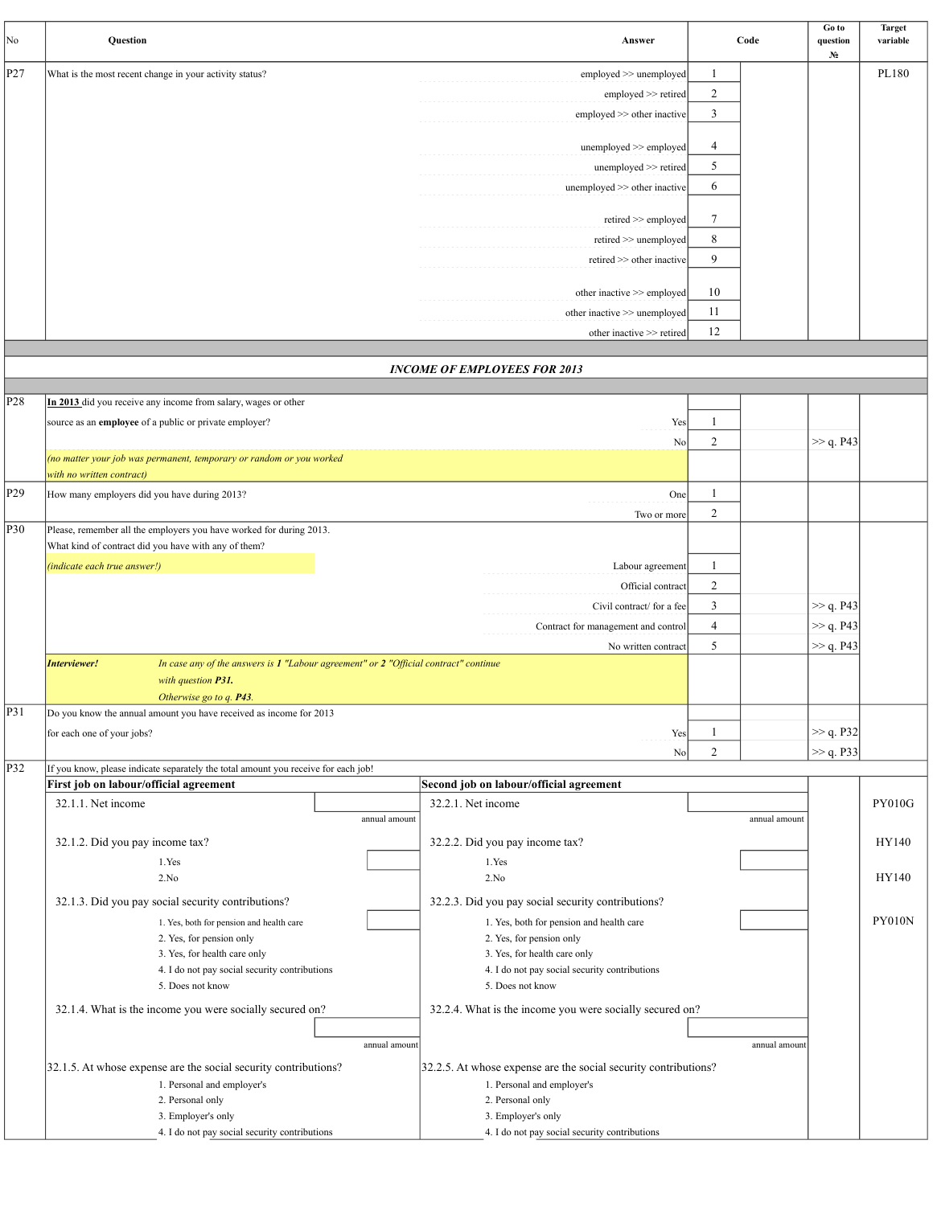| No               | Question                                                                                                                                              | Answer                                                          |                | Code          | Go to<br>question<br>N <sub>2</sub> | <b>Target</b><br>variable |
|------------------|-------------------------------------------------------------------------------------------------------------------------------------------------------|-----------------------------------------------------------------|----------------|---------------|-------------------------------------|---------------------------|
| P27              | What is the most recent change in your activity status?                                                                                               | employed >> unemployed                                          | -1             |               |                                     | PL180                     |
|                  |                                                                                                                                                       | employed >> retired                                             | 2              |               |                                     |                           |
|                  |                                                                                                                                                       | employed >> other inactive                                      | 3              |               |                                     |                           |
|                  |                                                                                                                                                       | $unemployed \geq \text{employed}$                               | 4              |               |                                     |                           |
|                  |                                                                                                                                                       | unemployed $\gg$ retired                                        | 5              |               |                                     |                           |
|                  |                                                                                                                                                       | unemployed $\gg$ other inactive                                 | 6              |               |                                     |                           |
|                  |                                                                                                                                                       | $retired \gg employd$                                           | 7              |               |                                     |                           |
|                  |                                                                                                                                                       | $retired \gg$ unemployed                                        | 8              |               |                                     |                           |
|                  |                                                                                                                                                       | retired >> other inactive                                       | 9              |               |                                     |                           |
|                  |                                                                                                                                                       | other inactive >> employed                                      | 10             |               |                                     |                           |
|                  |                                                                                                                                                       | other inactive >> unemployed                                    | 11             |               |                                     |                           |
|                  |                                                                                                                                                       | other inactive >> retired                                       | 12             |               |                                     |                           |
|                  |                                                                                                                                                       |                                                                 |                |               |                                     |                           |
|                  |                                                                                                                                                       | <b>INCOME OF EMPLOYEES FOR 2013</b>                             |                |               |                                     |                           |
|                  |                                                                                                                                                       |                                                                 |                |               |                                     |                           |
| P28              | In 2013 did you receive any income from salary, wages or other                                                                                        |                                                                 |                |               |                                     |                           |
|                  | source as an employee of a public or private employer?                                                                                                | Yes                                                             | -1             |               |                                     |                           |
|                  |                                                                                                                                                       | No                                                              | $\overline{2}$ |               | >> q. P43                           |                           |
|                  | (no matter your job was permanent, temporary or random or you worked<br>with no written contract)                                                     |                                                                 |                |               |                                     |                           |
| P29              | How many employers did you have during 2013?                                                                                                          | One                                                             | -1             |               |                                     |                           |
|                  |                                                                                                                                                       | Two or more                                                     | $\overline{c}$ |               |                                     |                           |
| P30              | Please, remember all the employers you have worked for during 2013.<br>What kind of contract did you have with any of them?                           |                                                                 |                |               |                                     |                           |
|                  | (indicate each true answer!)                                                                                                                          | Labour agreement                                                | $\mathbf{1}$   |               |                                     |                           |
|                  |                                                                                                                                                       | Official contract                                               | 2              |               |                                     |                           |
|                  |                                                                                                                                                       | Civil contract/ for a fee                                       | 3              |               | >> q. P43                           |                           |
|                  |                                                                                                                                                       | Contract for management and control                             | 4              |               | >> q. P43                           |                           |
|                  |                                                                                                                                                       | No written contract                                             | 5              |               | >> q. P43                           |                           |
|                  | In case any of the answers is 1 "Labour agreement" or 2 "Official contract" continue<br>Interviewer!<br>with question P31.<br>Otherwise go to q. P43. |                                                                 |                |               |                                     |                           |
| P31              | Do you know the annual amount you have received as income for 2013                                                                                    |                                                                 |                |               |                                     |                           |
|                  | for each one of your jobs?                                                                                                                            | Yes                                                             | $\mathbf{1}$   |               | >> q. P32                           |                           |
|                  |                                                                                                                                                       | N <sub>o</sub>                                                  | $\overline{2}$ |               | >> q. P33                           |                           |
| $\overline{P32}$ | If you know, please indicate separately the total amount you receive for each job!                                                                    |                                                                 |                |               |                                     |                           |
|                  | First job on labour/official agreement                                                                                                                | Second job on labour/official agreement                         |                |               |                                     |                           |
|                  | 32.1.1. Net income<br>annual amount                                                                                                                   | 32.2.1. Net income                                              |                | annual amount |                                     | <b>PY010G</b>             |
|                  | 32.1.2. Did you pay income tax?                                                                                                                       | 32.2.2. Did you pay income tax?                                 |                |               |                                     | HY140                     |
|                  | 1.Yes                                                                                                                                                 | 1.Yes                                                           |                |               |                                     |                           |
|                  | 2.No                                                                                                                                                  | 2.No                                                            |                |               |                                     | HY140                     |
|                  | 32.1.3. Did you pay social security contributions?                                                                                                    | 32.2.3. Did you pay social security contributions?              |                |               |                                     |                           |
|                  | 1. Yes, both for pension and health care                                                                                                              | 1. Yes, both for pension and health care                        |                |               |                                     | PY010N                    |
|                  | 2. Yes, for pension only<br>3. Yes, for health care only                                                                                              | 2. Yes, for pension only<br>3. Yes, for health care only        |                |               |                                     |                           |
|                  | 4. I do not pay social security contributions                                                                                                         | 4. I do not pay social security contributions                   |                |               |                                     |                           |
|                  | 5. Does not know                                                                                                                                      | 5. Does not know                                                |                |               |                                     |                           |
|                  | 32.1.4. What is the income you were socially secured on?                                                                                              | 32.2.4. What is the income you were socially secured on?        |                |               |                                     |                           |
|                  |                                                                                                                                                       |                                                                 |                |               |                                     |                           |
|                  | annual amount                                                                                                                                         |                                                                 |                | annual amount |                                     |                           |
|                  | 32.1.5. At whose expense are the social security contributions?                                                                                       | 32.2.5. At whose expense are the social security contributions? |                |               |                                     |                           |
|                  | 1. Personal and employer's<br>2. Personal only                                                                                                        | 1. Personal and employer's<br>2. Personal only                  |                |               |                                     |                           |
|                  | 3. Employer's only                                                                                                                                    | 3. Employer's only                                              |                |               |                                     |                           |
|                  | 4. I do not pay social security contributions                                                                                                         | 4. I do not pay social security contributions                   |                |               |                                     |                           |
|                  |                                                                                                                                                       |                                                                 |                |               |                                     |                           |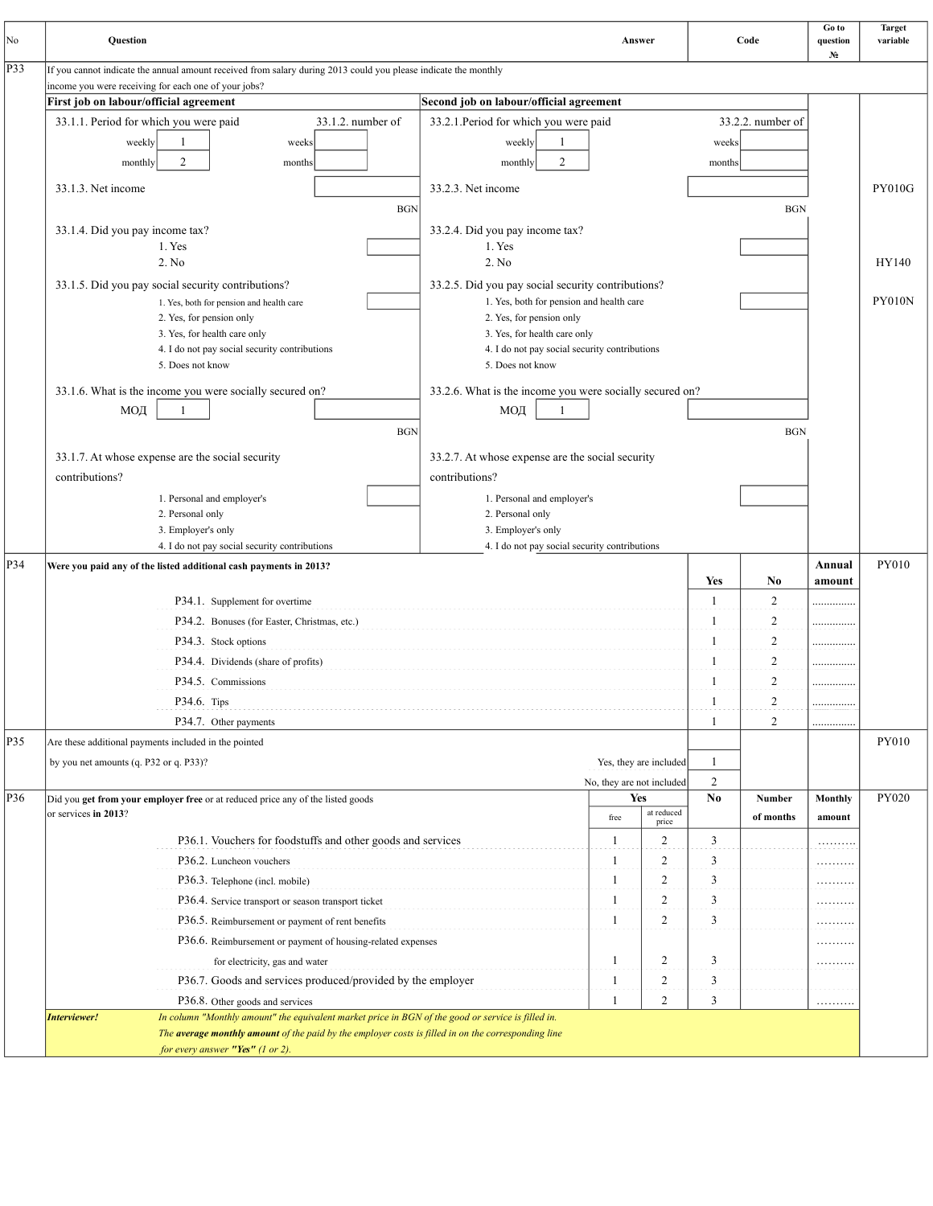| No                                                     | Question                                                                                                             | Answer                    |                        |                          | Code                                                                                         | Go to<br>question<br>N <sub>2</sub> | <b>Target</b><br>variable |
|--------------------------------------------------------|----------------------------------------------------------------------------------------------------------------------|---------------------------|------------------------|--------------------------|----------------------------------------------------------------------------------------------|-------------------------------------|---------------------------|
| P33                                                    | If you cannot indicate the annual amount received from salary during 2013 could you please indicate the monthly      |                           |                        |                          |                                                                                              |                                     |                           |
|                                                        | income you were receiving for each one of your jobs?                                                                 |                           |                        |                          |                                                                                              |                                     |                           |
|                                                        | First job on labour/official agreement<br>Second job on labour/official agreement                                    |                           |                        |                          |                                                                                              |                                     |                           |
|                                                        | 33.1.1. Period for which you were paid<br>33.1.2. number of<br>33.2.1. Period for which you were paid                |                           |                        |                          | 33.2.2. number of                                                                            |                                     |                           |
|                                                        | 1<br>1<br>weekly<br>weekly<br>weeks                                                                                  |                           |                        | weeks                    |                                                                                              |                                     |                           |
|                                                        | 2<br>$\overline{c}$<br>monthly<br>monthly<br>months                                                                  |                           |                        | months                   |                                                                                              |                                     |                           |
|                                                        | 33.1.3. Net income<br>33.2.3. Net income                                                                             |                           |                        |                          |                                                                                              |                                     | <b>PY010G</b>             |
|                                                        | <b>BGN</b>                                                                                                           |                           |                        |                          | <b>BGN</b>                                                                                   |                                     |                           |
|                                                        | 33.1.4. Did you pay income tax?<br>33.2.4. Did you pay income tax?                                                   |                           |                        |                          |                                                                                              |                                     |                           |
|                                                        | 1. Yes<br>1. Yes                                                                                                     |                           |                        |                          |                                                                                              |                                     |                           |
|                                                        | 2. No<br>2. No                                                                                                       |                           |                        |                          |                                                                                              |                                     | HY140                     |
|                                                        | 33.1.5. Did you pay social security contributions?<br>33.2.5. Did you pay social security contributions?             |                           |                        |                          |                                                                                              |                                     |                           |
|                                                        | 1. Yes, both for pension and health care<br>1. Yes, both for pension and health care                                 |                           |                        |                          |                                                                                              |                                     | <b>PY010N</b>             |
|                                                        | 2. Yes, for pension only<br>2. Yes, for pension only<br>3. Yes, for health care only<br>3. Yes, for health care only |                           |                        |                          |                                                                                              |                                     |                           |
|                                                        | 4. I do not pay social security contributions<br>4. I do not pay social security contributions                       |                           |                        |                          |                                                                                              |                                     |                           |
|                                                        | 5. Does not know<br>5. Does not know                                                                                 |                           |                        |                          |                                                                                              |                                     |                           |
|                                                        | 33.1.6. What is the income you were socially secured on?<br>33.2.6. What is the income you were socially secured on? |                           |                        |                          |                                                                                              |                                     |                           |
|                                                        | МОД<br>МОД<br>1                                                                                                      |                           |                        |                          |                                                                                              |                                     |                           |
|                                                        | <b>BGN</b>                                                                                                           |                           |                        |                          | <b>BGN</b>                                                                                   |                                     |                           |
|                                                        |                                                                                                                      |                           |                        |                          |                                                                                              |                                     |                           |
|                                                        | 33.1.7. At whose expense are the social security<br>33.2.7. At whose expense are the social security                 |                           |                        |                          |                                                                                              |                                     |                           |
|                                                        | contributions?<br>contributions?                                                                                     |                           |                        |                          |                                                                                              |                                     |                           |
|                                                        | 1. Personal and employer's<br>1. Personal and employer's                                                             |                           |                        |                          |                                                                                              |                                     |                           |
|                                                        | 2. Personal only<br>2. Personal only<br>3. Employer's only<br>3. Employer's only                                     |                           |                        |                          |                                                                                              |                                     |                           |
|                                                        | 4. I do not pay social security contributions<br>4. I do not pay social security contributions                       |                           |                        |                          |                                                                                              |                                     |                           |
| P34                                                    | Were you paid any of the listed additional cash payments in 2013?                                                    |                           |                        |                          |                                                                                              | Annual                              | PY010                     |
|                                                        |                                                                                                                      |                           |                        | Yes                      | N0                                                                                           | amount                              |                           |
|                                                        | P34.1. Supplement for overtime                                                                                       |                           |                        | $\mathbf{1}$             | $\overline{2}$                                                                               | .                                   |                           |
|                                                        | P34.2. Bonuses (for Easter, Christmas, etc.)                                                                         |                           |                        | $\overline{\phantom{a}}$ | 2                                                                                            | .                                   |                           |
|                                                        | P34.3. Stock options                                                                                                 |                           |                        | $\mathbf{1}$             | 2                                                                                            | .                                   |                           |
|                                                        | P34.4. Dividends (share of profits)                                                                                  |                           |                        | $\overline{1}$           | 2                                                                                            |                                     |                           |
|                                                        | P34.5. Commissions                                                                                                   |                           |                        | -1                       | 2                                                                                            | .                                   |                           |
|                                                        | P34.6. Tips                                                                                                          |                           |                        |                          | €.<br>$\label{eq:1} \begin{array}{lllllll} \alpha & \alpha & \alpha & \alpha \\ \end{array}$ |                                     |                           |
|                                                        | P34.7. Other payments                                                                                                |                           |                        | $\mathbf{1}$             | 2                                                                                            |                                     |                           |
| P35                                                    | Are these additional payments included in the pointed                                                                |                           |                        |                          |                                                                                              |                                     | PY010                     |
|                                                        | by you net amounts (q. P32 or q. P33)?                                                                               |                           | Yes, they are included | $\mathbf{1}$             |                                                                                              |                                     |                           |
|                                                        |                                                                                                                      | No, they are not included |                        | 2                        |                                                                                              |                                     |                           |
| P36                                                    | Did you get from your employer free or at reduced price any of the listed goods                                      | Yes                       |                        | No                       | Number                                                                                       | Monthly                             | PY020                     |
|                                                        | or services in 2013?                                                                                                 | free                      | at reduced<br>price    |                          | of months                                                                                    | amount                              |                           |
|                                                        | P36.1. Vouchers for foodstuffs and other goods and services                                                          | $\mathbf{1}$              | $\overline{2}$         | 3                        |                                                                                              | .                                   |                           |
|                                                        | P36.2. Luncheon vouchers                                                                                             | -1                        | 2                      | 3                        |                                                                                              | .                                   |                           |
|                                                        | P36.3. Telephone (incl. mobile)                                                                                      | -1                        | 2                      | 3                        |                                                                                              | .                                   |                           |
|                                                        | P36.4. Service transport or season transport ticket                                                                  | -1                        | 2                      | 3                        |                                                                                              | .                                   |                           |
|                                                        | P36.5. Reimbursement or payment of rent benefits<br>2<br>$\mathbf{1}$                                                |                           |                        |                          |                                                                                              | .                                   |                           |
|                                                        | P36.6. Reimbursement or payment of housing-related expenses                                                          |                           |                        |                          |                                                                                              | .                                   |                           |
|                                                        | 2<br>-1<br>for electricity, gas and water                                                                            |                           |                        |                          |                                                                                              | .                                   |                           |
|                                                        | P36.7. Goods and services produced/provided by the employer                                                          | $\mathbf{1}$              | 2                      | 3                        |                                                                                              |                                     |                           |
| $\overline{2}$<br>3<br>P36.8. Other goods and services |                                                                                                                      |                           |                        |                          |                                                                                              |                                     |                           |
|                                                        | In column "Monthly amount" the equivalent market price in BGN of the good or service is filled in.<br>Interviewer!   |                           |                        |                          |                                                                                              |                                     |                           |
|                                                        | The average monthly amount of the paid by the employer costs is filled in on the corresponding line                  |                           |                        |                          |                                                                                              |                                     |                           |
|                                                        | for every answer "Yes" (1 or 2).                                                                                     |                           |                        |                          |                                                                                              |                                     |                           |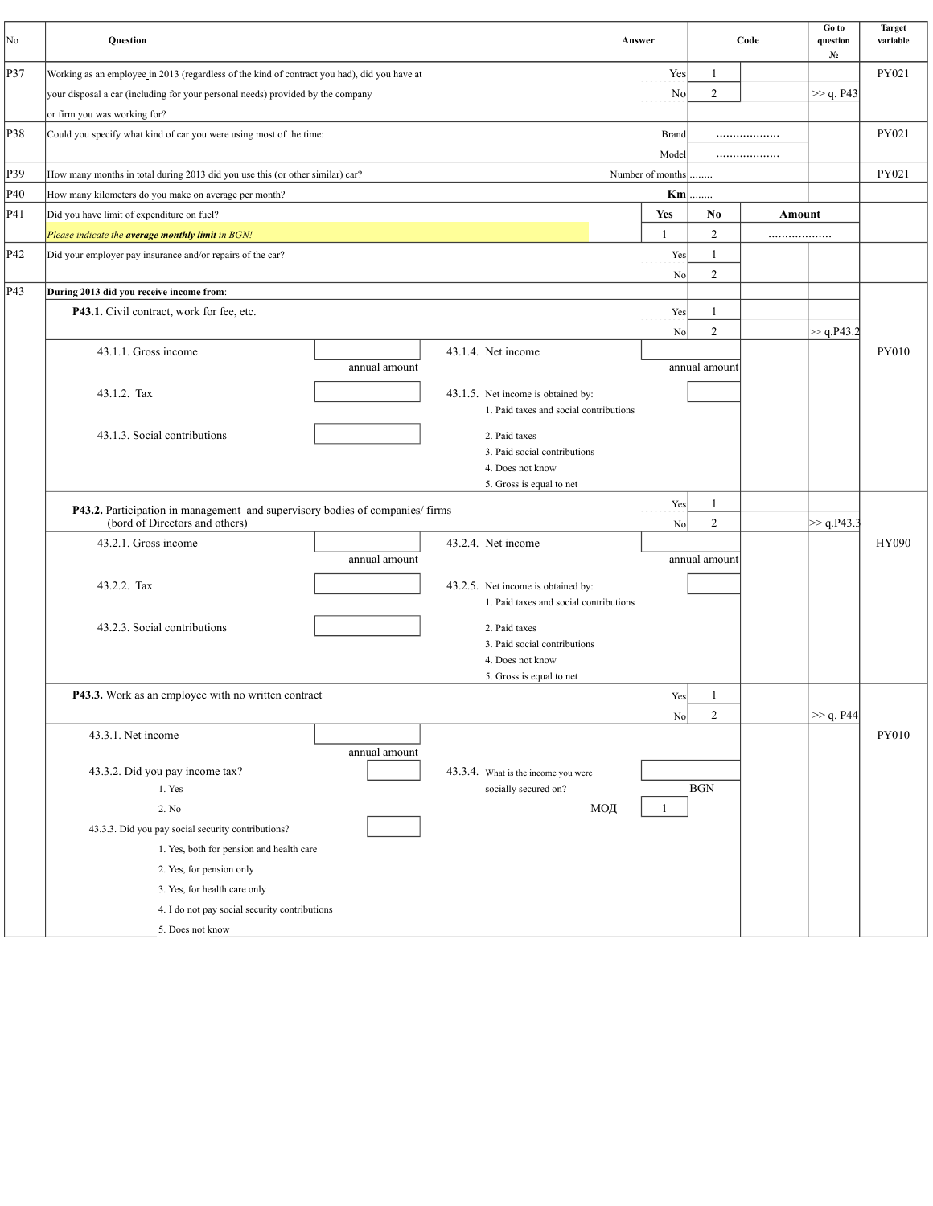| No  | Question                                                                                     |               |                                                             | Answer           |                | Code   | Go to<br>question<br>N <sub>2</sub> | <b>Target</b><br>variable |
|-----|----------------------------------------------------------------------------------------------|---------------|-------------------------------------------------------------|------------------|----------------|--------|-------------------------------------|---------------------------|
| P37 | Working as an employee in 2013 (regardless of the kind of contract you had), did you have at |               |                                                             | Yes              | -1             |        |                                     | PY021                     |
|     | your disposal a car (including for your personal needs) provided by the company              |               |                                                             | No               | $\overline{c}$ |        | >> q. P43                           |                           |
|     | or firm you was working for?                                                                 |               |                                                             |                  |                |        |                                     |                           |
| P38 | Could you specify what kind of car you were using most of the time:                          |               |                                                             | <b>Brand</b>     |                |        |                                     | PY021                     |
|     |                                                                                              |               |                                                             | Model            |                |        |                                     |                           |
| P39 | How many months in total during 2013 did you use this (or other similar) car?                |               |                                                             | Number of months |                |        |                                     | PY021                     |
| P40 | How many kilometers do you make on average per month?                                        |               |                                                             | Km               | .              |        |                                     |                           |
| P41 | Did you have limit of expenditure on fuel?                                                   |               |                                                             | <b>Yes</b>       | No             | Amount |                                     |                           |
|     | Please indicate the <b>average monthly limit</b> in BGN!                                     |               |                                                             | $\mathbf{1}$     | $\overline{2}$ | .      |                                     |                           |
| P42 | Did your employer pay insurance and/or repairs of the car?                                   |               |                                                             | Yes              | 1              |        |                                     |                           |
|     |                                                                                              |               |                                                             | No               | $\overline{2}$ |        |                                     |                           |
| P43 | During 2013 did you receive income from:                                                     |               |                                                             |                  |                |        |                                     |                           |
|     | P43.1. Civil contract, work for fee, etc.                                                    |               |                                                             | Yes              | -1             |        |                                     |                           |
|     |                                                                                              |               |                                                             | No               | $\overline{c}$ |        | $>$ q.P43.2                         |                           |
|     | 43.1.1. Gross income                                                                         |               | 43.1.4. Net income                                          |                  |                |        |                                     | PY010                     |
|     |                                                                                              | annual amount |                                                             |                  | annual amount  |        |                                     |                           |
|     | 43.1.2. Tax                                                                                  |               | 43.1.5. Net income is obtained by:                          |                  |                |        |                                     |                           |
|     |                                                                                              |               | 1. Paid taxes and social contributions                      |                  |                |        |                                     |                           |
|     |                                                                                              |               |                                                             |                  |                |        |                                     |                           |
|     | 43.1.3. Social contributions                                                                 |               | 2. Paid taxes<br>3. Paid social contributions               |                  |                |        |                                     |                           |
|     |                                                                                              |               | 4. Does not know                                            |                  |                |        |                                     |                           |
|     |                                                                                              |               | 5. Gross is equal to net                                    |                  |                |        |                                     |                           |
|     | P43.2. Participation in management and supervisory bodies of companies/firms                 |               |                                                             | Yes              | -1             |        |                                     |                           |
|     | (bord of Directors and others)                                                               |               |                                                             | $\rm No$         | $\overline{c}$ |        | > q.P43.3                           |                           |
|     | 43.2.1. Gross income                                                                         |               | 43.2.4. Net income                                          |                  |                |        |                                     | <b>HY090</b>              |
|     |                                                                                              | annual amount |                                                             |                  | annual amount  |        |                                     |                           |
|     | 43.2.2. Tax                                                                                  |               | 43.2.5. Net income is obtained by:                          |                  |                |        |                                     |                           |
|     |                                                                                              |               | 1. Paid taxes and social contributions                      |                  |                |        |                                     |                           |
|     | 43.2.3. Social contributions                                                                 |               | 2. Paid taxes                                               |                  |                |        |                                     |                           |
|     |                                                                                              |               | 3. Paid social contributions                                |                  |                |        |                                     |                           |
|     |                                                                                              |               | 4. Does not know                                            |                  |                |        |                                     |                           |
|     |                                                                                              |               | 5. Gross is equal to net                                    |                  |                |        |                                     |                           |
|     | <b>P43.3.</b> Work as an employee with no written contract                                   |               |                                                             | Yes              | -1             |        |                                     |                           |
|     |                                                                                              |               |                                                             | No               | 2              |        | >> q. P44                           |                           |
|     | 43.3.1. Net income                                                                           | annual amount |                                                             |                  |                |        |                                     | PY010                     |
|     | 43.3.2. Did you pay income tax?                                                              |               |                                                             |                  |                |        |                                     |                           |
|     | 1. Yes                                                                                       |               | 43.3.4. What is the income you were<br>socially secured on? |                  | BGN            |        |                                     |                           |
|     | 2. No                                                                                        |               | МОД                                                         | 1                |                |        |                                     |                           |
|     | 43.3.3. Did you pay social security contributions?                                           |               |                                                             |                  |                |        |                                     |                           |
|     | 1. Yes, both for pension and health care                                                     |               |                                                             |                  |                |        |                                     |                           |
|     | 2. Yes, for pension only                                                                     |               |                                                             |                  |                |        |                                     |                           |
|     | 3. Yes, for health care only                                                                 |               |                                                             |                  |                |        |                                     |                           |
|     | 4. I do not pay social security contributions                                                |               |                                                             |                  |                |        |                                     |                           |
|     | 5. Does not know                                                                             |               |                                                             |                  |                |        |                                     |                           |
|     |                                                                                              |               |                                                             |                  |                |        |                                     |                           |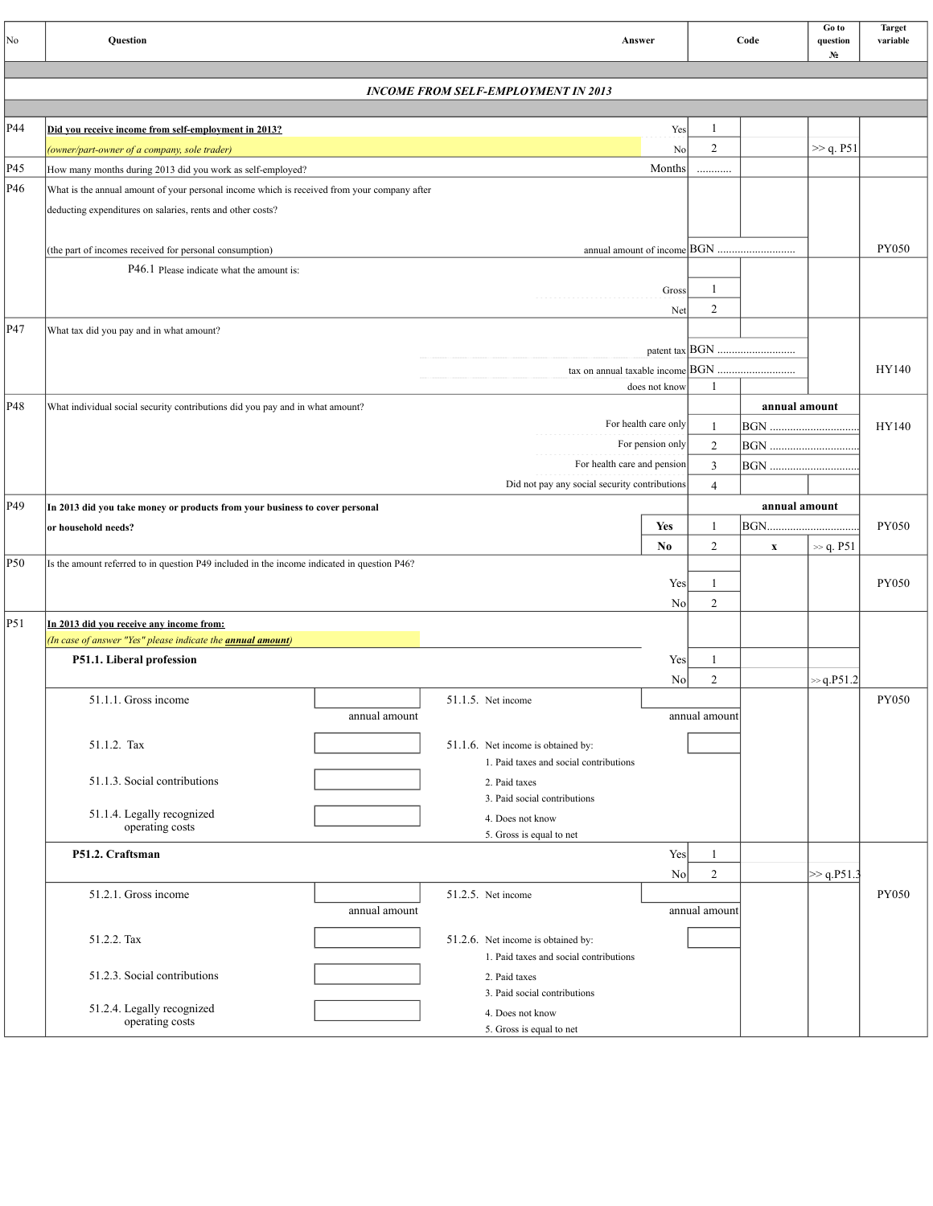| No  | Question                                                                                                        | Answer        | Code                                          |                      | Go to<br>question<br>N <sub>2</sub> | <b>Target</b><br>variable |              |              |
|-----|-----------------------------------------------------------------------------------------------------------------|---------------|-----------------------------------------------|----------------------|-------------------------------------|---------------------------|--------------|--------------|
|     |                                                                                                                 |               |                                               |                      |                                     |                           |              |              |
|     |                                                                                                                 |               | <b>INCOME FROM SELF-EMPLOYMENT IN 2013</b>    |                      |                                     |                           |              |              |
| P44 | Did you receive income from self-employment in 2013?                                                            |               |                                               | Yes                  | $\mathbf{1}$                        |                           |              |              |
|     | (owner/part-owner of a company, sole trader)                                                                    |               |                                               | No                   | $\overline{c}$                      |                           | >> q. P51    |              |
| P45 | How many months during 2013 did you work as self-employed?                                                      |               |                                               | Months               | .                                   |                           |              |              |
| P46 | What is the annual amount of your personal income which is received from your company after                     |               |                                               |                      |                                     |                           |              |              |
|     | deducting expenditures on salaries, rents and other costs?                                                      |               |                                               |                      |                                     |                           |              |              |
|     |                                                                                                                 |               |                                               |                      |                                     |                           |              |              |
|     | (the part of incomes received for personal consumption)                                                         |               |                                               |                      |                                     |                           |              | PY050        |
|     | P46.1 Please indicate what the amount is:                                                                       |               |                                               |                      |                                     |                           |              |              |
|     |                                                                                                                 |               |                                               | Gross                | 1                                   |                           |              |              |
|     |                                                                                                                 |               |                                               | Net                  | $\overline{2}$                      |                           |              |              |
| P47 | What tax did you pay and in what amount?                                                                        |               |                                               |                      |                                     |                           |              |              |
|     |                                                                                                                 |               |                                               |                      |                                     |                           |              |              |
|     |                                                                                                                 |               |                                               |                      | 1                                   |                           |              | HY140        |
| P48 | What individual social security contributions did you pay and in what amount?                                   |               |                                               | does not know        |                                     | annual amount             |              |              |
|     |                                                                                                                 |               |                                               | For health care only | $\mathbf{1}$                        | <b>BGN</b>                |              | HY140        |
|     |                                                                                                                 |               |                                               | For pension only     | 2                                   |                           |              |              |
|     |                                                                                                                 |               | For health care and pension                   |                      | $\overline{3}$                      | <b>BGN</b>                |              |              |
|     |                                                                                                                 |               | Did not pay any social security contributions |                      | $\overline{4}$                      |                           |              |              |
| P49 | In 2013 did you take money or products from your business to cover personal                                     |               |                                               |                      |                                     | annual amount             |              |              |
|     | Yes<br>or household needs?                                                                                      |               |                                               |                      | $\mathbf{1}$                        |                           |              | <b>PY050</b> |
|     |                                                                                                                 |               |                                               | N <sub>0</sub>       | 2                                   | $\mathbf x$               | $\gg$ q. P51 |              |
| P50 | Is the amount referred to in question P49 included in the income indicated in question P46?                     |               |                                               |                      |                                     |                           |              |              |
|     |                                                                                                                 |               |                                               | Yes                  | $\mathbf{1}$                        |                           |              | <b>PY050</b> |
|     |                                                                                                                 |               |                                               | N <sub>o</sub>       | 2                                   |                           |              |              |
| P51 | In 2013 did you receive any income from:<br>(In case of answer "Yes" please indicate the <b>annual amount</b> ) |               |                                               |                      |                                     |                           |              |              |
|     | P51.1. Liberal profession                                                                                       |               |                                               | Yes                  | -1                                  |                           |              |              |
|     |                                                                                                                 |               |                                               | N <sub>0</sub>       | $\overline{c}$                      |                           | > q.P51.2    |              |
|     | 51.1.1. Gross income                                                                                            |               | 51.1.5. Net income                            |                      |                                     |                           |              | PY050        |
|     |                                                                                                                 | annual amount |                                               |                      | annual amount                       |                           |              |              |
|     | 51.1.2. Tax                                                                                                     |               | 51.1.6. Net income is obtained by:            |                      |                                     |                           |              |              |
|     |                                                                                                                 |               | 1. Paid taxes and social contributions        |                      |                                     |                           |              |              |
|     | 51.1.3. Social contributions                                                                                    |               | 2. Paid taxes                                 |                      |                                     |                           |              |              |
|     | 51.1.4. Legally recognized                                                                                      |               | 3. Paid social contributions                  |                      |                                     |                           |              |              |
|     | operating costs                                                                                                 |               | 4. Does not know<br>5. Gross is equal to net  |                      |                                     |                           |              |              |
|     | P51.2. Craftsman                                                                                                |               |                                               | Yes                  | -1                                  |                           |              |              |
|     |                                                                                                                 |               |                                               | $\vert$ No $\vert$   | $\overline{2}$                      |                           | >> q.P51.3   |              |
|     | 51.2.1. Gross income                                                                                            |               | 51.2.5. Net income                            |                      |                                     |                           |              | PY050        |
|     |                                                                                                                 | annual amount |                                               |                      | annual amount                       |                           |              |              |
|     | 51.2.2. Tax                                                                                                     |               | 51.2.6. Net income is obtained by:            |                      |                                     |                           |              |              |
|     |                                                                                                                 |               | 1. Paid taxes and social contributions        |                      |                                     |                           |              |              |
|     | 51.2.3. Social contributions                                                                                    |               | 2. Paid taxes                                 |                      |                                     |                           |              |              |
|     |                                                                                                                 |               | 3. Paid social contributions                  |                      |                                     |                           |              |              |
|     | 51.2.4. Legally recognized<br>operating costs                                                                   |               | 4. Does not know                              |                      |                                     |                           |              |              |
|     |                                                                                                                 |               | 5. Gross is equal to net                      |                      |                                     |                           |              |              |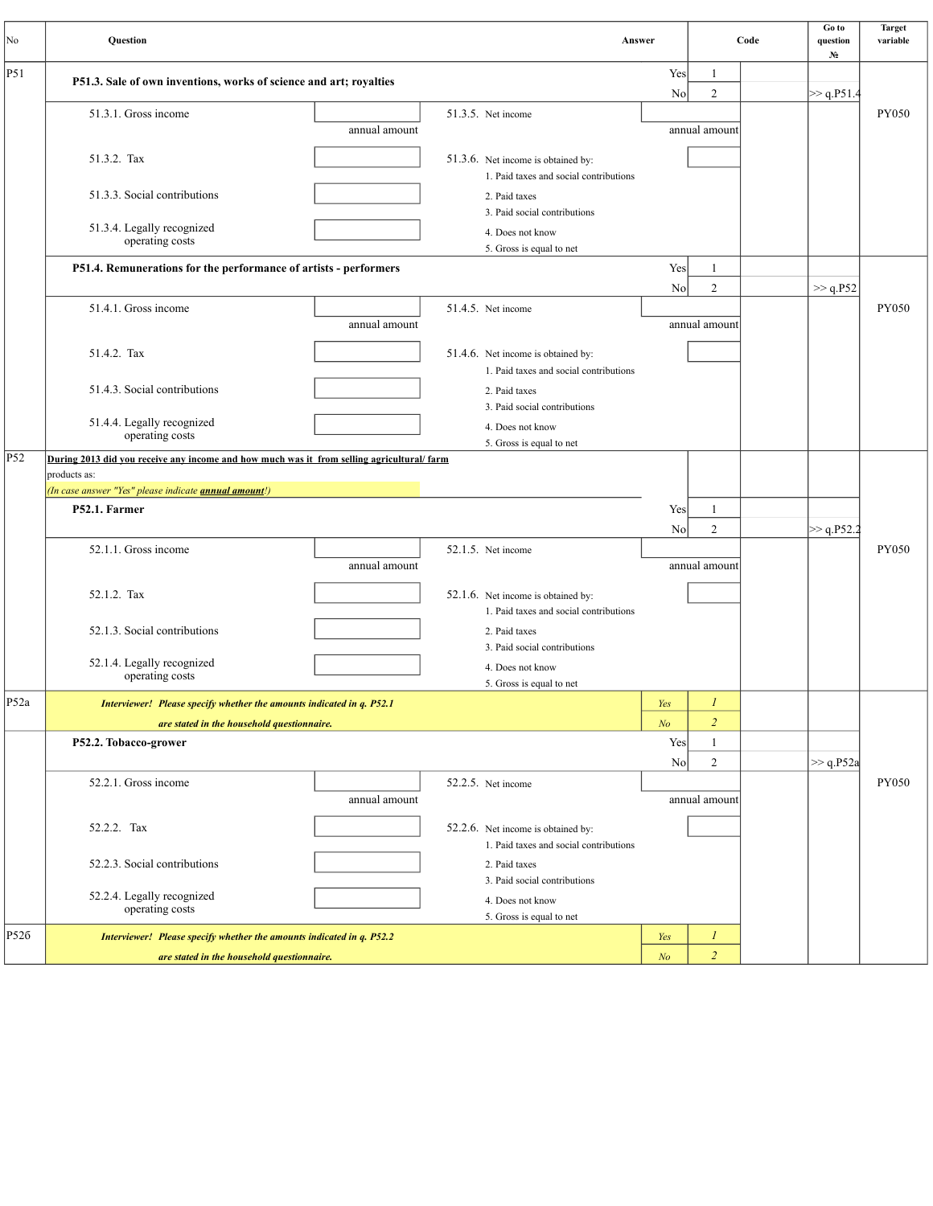| P51<br>Yes<br>1<br>P51.3. Sale of own inventions, works of science and art; royalties<br>$\overline{2}$<br>N <sub>o</sub><br>> q.P51.4<br>51.3.1. Gross income<br>51.3.5. Net income<br>annual amount<br>annual amount<br>51.3.2. Tax<br>51.3.6. Net income is obtained by:<br>1. Paid taxes and social contributions<br>51.3.3. Social contributions<br>2. Paid taxes<br>3. Paid social contributions<br>51.3.4. Legally recognized<br>4. Does not know<br>operating costs<br>5. Gross is equal to net<br>P51.4. Remunerations for the performance of artists - performers<br>Yes<br>$\mathbf{1}$<br>$\overline{2}$<br>N <sub>o</sub><br>>> q.P52<br>51.4.1. Gross income<br>51.4.5. Net income<br>annual amount<br>annual amount<br>51.4.2. Tax<br>51.4.6. Net income is obtained by:<br>1. Paid taxes and social contributions<br>51.4.3. Social contributions<br>2. Paid taxes | PY050<br>PY050 |
|------------------------------------------------------------------------------------------------------------------------------------------------------------------------------------------------------------------------------------------------------------------------------------------------------------------------------------------------------------------------------------------------------------------------------------------------------------------------------------------------------------------------------------------------------------------------------------------------------------------------------------------------------------------------------------------------------------------------------------------------------------------------------------------------------------------------------------------------------------------------------------|----------------|
|                                                                                                                                                                                                                                                                                                                                                                                                                                                                                                                                                                                                                                                                                                                                                                                                                                                                                    |                |
|                                                                                                                                                                                                                                                                                                                                                                                                                                                                                                                                                                                                                                                                                                                                                                                                                                                                                    |                |
|                                                                                                                                                                                                                                                                                                                                                                                                                                                                                                                                                                                                                                                                                                                                                                                                                                                                                    |                |
|                                                                                                                                                                                                                                                                                                                                                                                                                                                                                                                                                                                                                                                                                                                                                                                                                                                                                    |                |
|                                                                                                                                                                                                                                                                                                                                                                                                                                                                                                                                                                                                                                                                                                                                                                                                                                                                                    |                |
|                                                                                                                                                                                                                                                                                                                                                                                                                                                                                                                                                                                                                                                                                                                                                                                                                                                                                    |                |
|                                                                                                                                                                                                                                                                                                                                                                                                                                                                                                                                                                                                                                                                                                                                                                                                                                                                                    |                |
|                                                                                                                                                                                                                                                                                                                                                                                                                                                                                                                                                                                                                                                                                                                                                                                                                                                                                    |                |
| 3. Paid social contributions                                                                                                                                                                                                                                                                                                                                                                                                                                                                                                                                                                                                                                                                                                                                                                                                                                                       |                |
| 51.4.4. Legally recognized<br>4. Does not know<br>operating costs<br>5. Gross is equal to net                                                                                                                                                                                                                                                                                                                                                                                                                                                                                                                                                                                                                                                                                                                                                                                      |                |
| P <sub>52</sub><br>During 2013 did you receive any income and how much was it from selling agricultural/farm<br>products as:<br>(In case answer "Yes" please indicate <b>annual amount</b> !)                                                                                                                                                                                                                                                                                                                                                                                                                                                                                                                                                                                                                                                                                      |                |
| $\mathbf{1}$<br>P52.1. Farmer<br>Yes<br>$\overline{2}$<br>> q.P52.2<br>N <sub>o</sub>                                                                                                                                                                                                                                                                                                                                                                                                                                                                                                                                                                                                                                                                                                                                                                                              |                |
| 52.1.1. Gross income<br>52.1.5. Net income<br>annual amount<br>annual amount                                                                                                                                                                                                                                                                                                                                                                                                                                                                                                                                                                                                                                                                                                                                                                                                       | PY050          |
| 52.1.2. Tax<br>52.1.6. Net income is obtained by:<br>1. Paid taxes and social contributions                                                                                                                                                                                                                                                                                                                                                                                                                                                                                                                                                                                                                                                                                                                                                                                        |                |
| 52.1.3. Social contributions<br>2. Paid taxes<br>3. Paid social contributions                                                                                                                                                                                                                                                                                                                                                                                                                                                                                                                                                                                                                                                                                                                                                                                                      |                |
| 52.1.4. Legally recognized<br>4. Does not know<br>operating costs<br>5. Gross is equal to net                                                                                                                                                                                                                                                                                                                                                                                                                                                                                                                                                                                                                                                                                                                                                                                      |                |
| P52a<br>$\bullet$<br>Interviewer! Please specify whether the amounts indicated in q. P52.1<br>Yes<br>$\overline{2}$<br>are stated in the household questionnaire.<br>N <sub>O</sub>                                                                                                                                                                                                                                                                                                                                                                                                                                                                                                                                                                                                                                                                                                |                |
| Yes<br>P52.2. Tobacco-grower<br>$\mathbf{1}$<br>$\overline{c}$<br>$\gg$ q.P52a<br>N <sub>o</sub>                                                                                                                                                                                                                                                                                                                                                                                                                                                                                                                                                                                                                                                                                                                                                                                   |                |
| 52.2.1. Gross income<br>52.2.5. Net income<br>annual amount<br>annual amount                                                                                                                                                                                                                                                                                                                                                                                                                                                                                                                                                                                                                                                                                                                                                                                                       | PY050          |
| 52.2.2. Tax<br>52.2.6. Net income is obtained by:<br>1. Paid taxes and social contributions                                                                                                                                                                                                                                                                                                                                                                                                                                                                                                                                                                                                                                                                                                                                                                                        |                |
| 52.2.3. Social contributions<br>2. Paid taxes<br>3. Paid social contributions                                                                                                                                                                                                                                                                                                                                                                                                                                                                                                                                                                                                                                                                                                                                                                                                      |                |
| 52.2.4. Legally recognized<br>4. Does not know<br>operating costs<br>5. Gross is equal to net                                                                                                                                                                                                                                                                                                                                                                                                                                                                                                                                                                                                                                                                                                                                                                                      |                |
| P526<br>Interviewer! Please specify whether the amounts indicated in q. P52.2<br>Yes<br>$\boldsymbol{l}$<br>$\overline{2}$<br>are stated in the household questionnaire.<br>N <sub>o</sub>                                                                                                                                                                                                                                                                                                                                                                                                                                                                                                                                                                                                                                                                                         |                |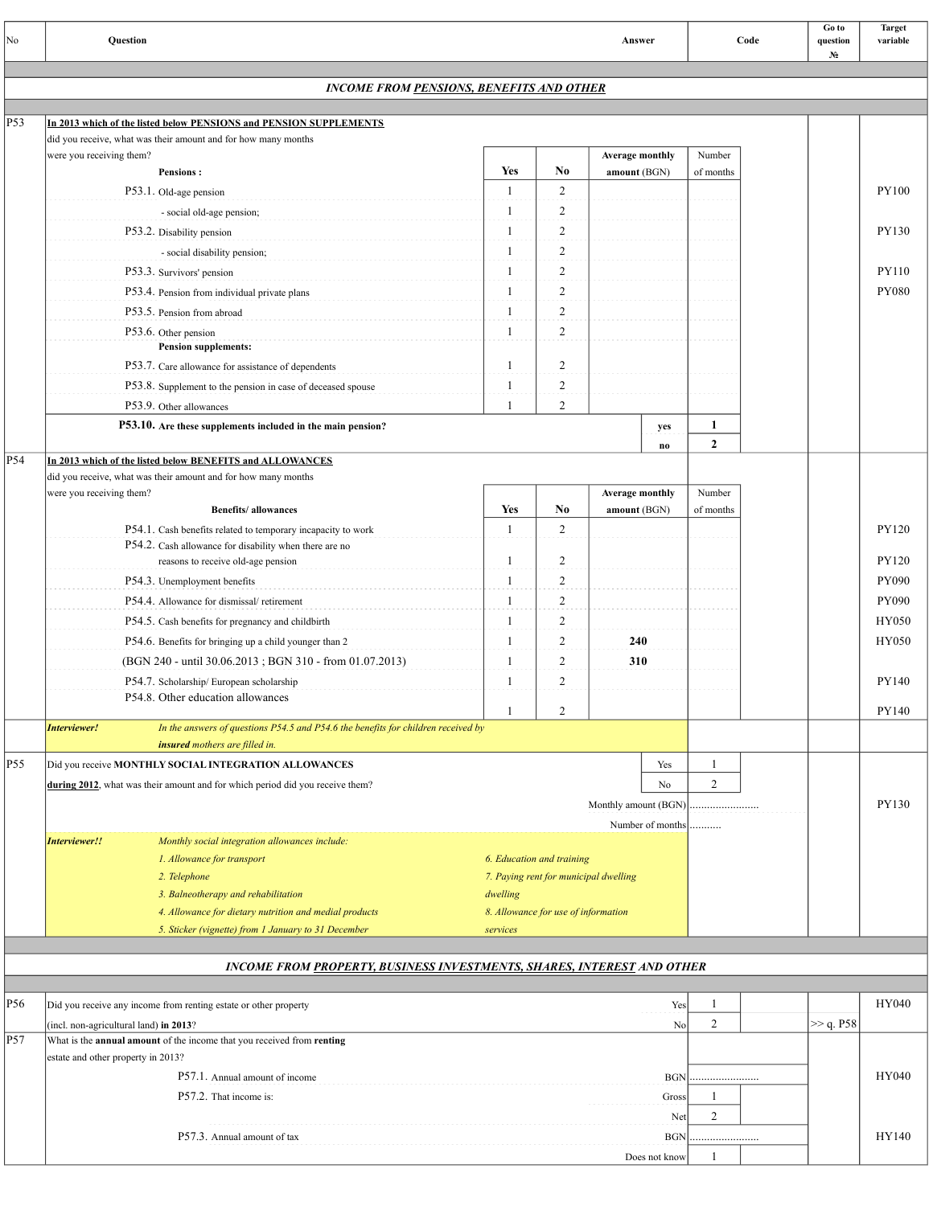| No              | Question                                                                                                               |                                                 |                                     |                | Answer                                |                       | Code | Go to<br>question<br>N <sub>2</sub> | <b>Target</b><br>variable |
|-----------------|------------------------------------------------------------------------------------------------------------------------|-------------------------------------------------|-------------------------------------|----------------|---------------------------------------|-----------------------|------|-------------------------------------|---------------------------|
|                 |                                                                                                                        | <b>INCOME FROM PENSIONS, BENEFITS AND OTHER</b> |                                     |                |                                       |                       |      |                                     |                           |
|                 |                                                                                                                        |                                                 |                                     |                |                                       |                       |      |                                     |                           |
| P53             | In 2013 which of the listed below PENSIONS and PENSION SUPPLEMENTS                                                     |                                                 |                                     |                |                                       |                       |      |                                     |                           |
|                 | did you receive, what was their amount and for how many months<br>were you receiving them?                             |                                                 |                                     |                | <b>Average monthly</b>                | Number                |      |                                     |                           |
|                 | <b>Pensions:</b>                                                                                                       |                                                 | Yes                                 | No             | amount (BGN)                          | of months             |      |                                     |                           |
|                 | P53.1. Old-age pension                                                                                                 |                                                 | 1                                   | 2              |                                       |                       |      |                                     | <b>PY100</b>              |
|                 | - social old-age pension;                                                                                              |                                                 | 1                                   | 2              |                                       |                       |      |                                     |                           |
|                 | P53.2. Disability pension                                                                                              |                                                 | 1                                   | 2              |                                       |                       |      |                                     | <b>PY130</b>              |
|                 | - social disability pension;                                                                                           |                                                 | 1                                   | 2              |                                       |                       |      |                                     |                           |
|                 | P53.3. Survivors' pension                                                                                              |                                                 | $\mathbf{1}$                        | $\overline{c}$ |                                       |                       |      |                                     | <b>PY110</b>              |
|                 | P53.4. Pension from individual private plans                                                                           |                                                 | 1                                   | $\overline{c}$ |                                       |                       |      |                                     | <b>PY080</b>              |
|                 | P53.5. Pension from abroad                                                                                             |                                                 | 1                                   | $\sqrt{2}$     |                                       |                       |      |                                     |                           |
|                 | P53.6. Other pension                                                                                                   |                                                 | $\mathbf{1}$                        | $\sqrt{2}$     |                                       |                       |      |                                     |                           |
|                 | <b>Pension supplements:</b>                                                                                            |                                                 |                                     |                |                                       |                       |      |                                     |                           |
|                 | P53.7. Care allowance for assistance of dependents                                                                     |                                                 | 1                                   | 2              |                                       |                       |      |                                     |                           |
|                 | P53.8. Supplement to the pension in case of deceased spouse                                                            |                                                 | 1                                   | 2              |                                       |                       |      |                                     |                           |
|                 | P53.9. Other allowances                                                                                                |                                                 | 1                                   | 2              |                                       |                       |      |                                     |                           |
|                 | P53.10. Are these supplements included in the main pension?                                                            |                                                 |                                     |                | yes                                   | $\mathbf{1}$          |      |                                     |                           |
|                 |                                                                                                                        |                                                 |                                     |                | $\bf{no}$                             | $\overline{2}$        |      |                                     |                           |
| P54             | In 2013 which of the listed below BENEFITS and ALLOWANCES                                                              |                                                 |                                     |                |                                       |                       |      |                                     |                           |
|                 | did you receive, what was their amount and for how many months                                                         |                                                 |                                     |                |                                       |                       |      |                                     |                           |
|                 | were you receiving them?                                                                                               |                                                 | Yes                                 | No             | <b>Average monthly</b>                | Number                |      |                                     |                           |
|                 | <b>Benefits/allowances</b>                                                                                             |                                                 |                                     |                | amount (BGN)                          | of months             |      |                                     |                           |
|                 | P54.1. Cash benefits related to temporary incapacity to work<br>P54.2. Cash allowance for disability when there are no |                                                 | 1                                   | 2              |                                       |                       |      |                                     | <b>PY120</b>              |
|                 | reasons to receive old-age pension                                                                                     |                                                 | 1                                   | 2              |                                       |                       |      |                                     | <b>PY120</b>              |
|                 | P54.3. Unemployment benefits                                                                                           |                                                 | 1                                   | $\overline{2}$ |                                       |                       |      |                                     | <b>PY090</b>              |
|                 | P54.4. Allowance for dismissal/retirement                                                                              |                                                 | $\mathbf{1}$                        | $\overline{2}$ |                                       |                       |      |                                     | <b>PY090</b>              |
|                 | P54.5. Cash benefits for pregnancy and childbirth                                                                      |                                                 | 1                                   | 2              |                                       |                       |      |                                     | HY050                     |
|                 | P54.6. Benefits for bringing up a child younger than 2                                                                 |                                                 | 1                                   | 2              | 240                                   |                       |      |                                     | HY050                     |
|                 | (BGN 240 - until 30.06.2013; BGN 310 - from 01.07.2013)                                                                |                                                 | 1                                   | $\overline{c}$ | 310                                   |                       |      |                                     |                           |
|                 | P54.7. Scholarship/European scholarship                                                                                |                                                 | -1                                  | 2              |                                       |                       |      |                                     | PY140                     |
|                 | P54.8. Other education allowances                                                                                      |                                                 |                                     |                |                                       |                       |      |                                     |                           |
|                 |                                                                                                                        |                                                 | 1                                   | $\overline{c}$ |                                       |                       |      |                                     | PY140                     |
|                 | In the answers of questions P54.5 and P54.6 the benefits for children received by<br>Interviewer!                      |                                                 |                                     |                |                                       |                       |      |                                     |                           |
|                 | insured mothers are filled in.                                                                                         |                                                 |                                     |                |                                       |                       |      |                                     |                           |
| P <sub>55</sub> | Did you receive MONTHLY SOCIAL INTEGRATION ALLOWANCES                                                                  |                                                 |                                     |                | Yes                                   | -1                    |      |                                     |                           |
|                 | during 2012, what was their amount and for which period did you receive them?                                          |                                                 |                                     |                | No                                    | $\overline{2}$        |      |                                     |                           |
|                 |                                                                                                                        |                                                 |                                     |                | Monthly amount (BGN)                  |                       |      |                                     | PY130                     |
|                 |                                                                                                                        |                                                 |                                     |                | Number of months                      |                       |      |                                     |                           |
|                 | Monthly social integration allowances include:<br>Interviewer!!<br>1. Allowance for transport                          |                                                 | 6. Education and training           |                |                                       |                       |      |                                     |                           |
|                 | 2. Telephone                                                                                                           |                                                 |                                     |                | 7. Paying rent for municipal dwelling |                       |      |                                     |                           |
|                 | 3. Balneotherapy and rehabilitation                                                                                    |                                                 | dwelling                            |                |                                       |                       |      |                                     |                           |
|                 | 4. Allowance for dietary nutrition and medial products                                                                 |                                                 | 8. Allowance for use of information |                |                                       |                       |      |                                     |                           |
|                 | 5. Sticker (vignette) from 1 January to 31 December                                                                    |                                                 | services                            |                |                                       |                       |      |                                     |                           |
|                 |                                                                                                                        |                                                 |                                     |                |                                       |                       |      |                                     |                           |
|                 | <b>INCOME FROM PROPERTY, BUSINESS INVESTMENTS, SHARES, INTEREST AND OTHER</b>                                          |                                                 |                                     |                |                                       |                       |      |                                     |                           |
|                 |                                                                                                                        |                                                 |                                     |                |                                       |                       |      |                                     |                           |
| P56             | Did you receive any income from renting estate or other property                                                       |                                                 |                                     |                |                                       | Yes<br>-1             |      |                                     | HY040                     |
|                 | (incl. non-agricultural land) in 2013?                                                                                 |                                                 |                                     |                |                                       | $\overline{2}$<br>No  |      | >> q. P58                           |                           |
| P57             | What is the annual amount of the income that you received from renting                                                 |                                                 |                                     |                |                                       |                       |      |                                     |                           |
|                 | estate and other property in 2013?                                                                                     |                                                 |                                     |                |                                       |                       |      |                                     |                           |
|                 | P57.1. Annual amount of income                                                                                         |                                                 |                                     |                |                                       | BGN                   |      |                                     | HY040                     |
|                 | P57.2. That income is:                                                                                                 |                                                 |                                     |                |                                       | Gross<br>$\mathbf{1}$ |      |                                     |                           |
|                 |                                                                                                                        |                                                 |                                     |                |                                       | $\overline{2}$<br>Net |      |                                     |                           |
|                 | P57.3. Annual amount of tax                                                                                            |                                                 |                                     |                |                                       | <b>BGN</b><br>        |      |                                     | HY140                     |
|                 |                                                                                                                        |                                                 |                                     |                | Does not know                         | -1                    |      |                                     |                           |
|                 |                                                                                                                        |                                                 |                                     |                |                                       |                       |      |                                     |                           |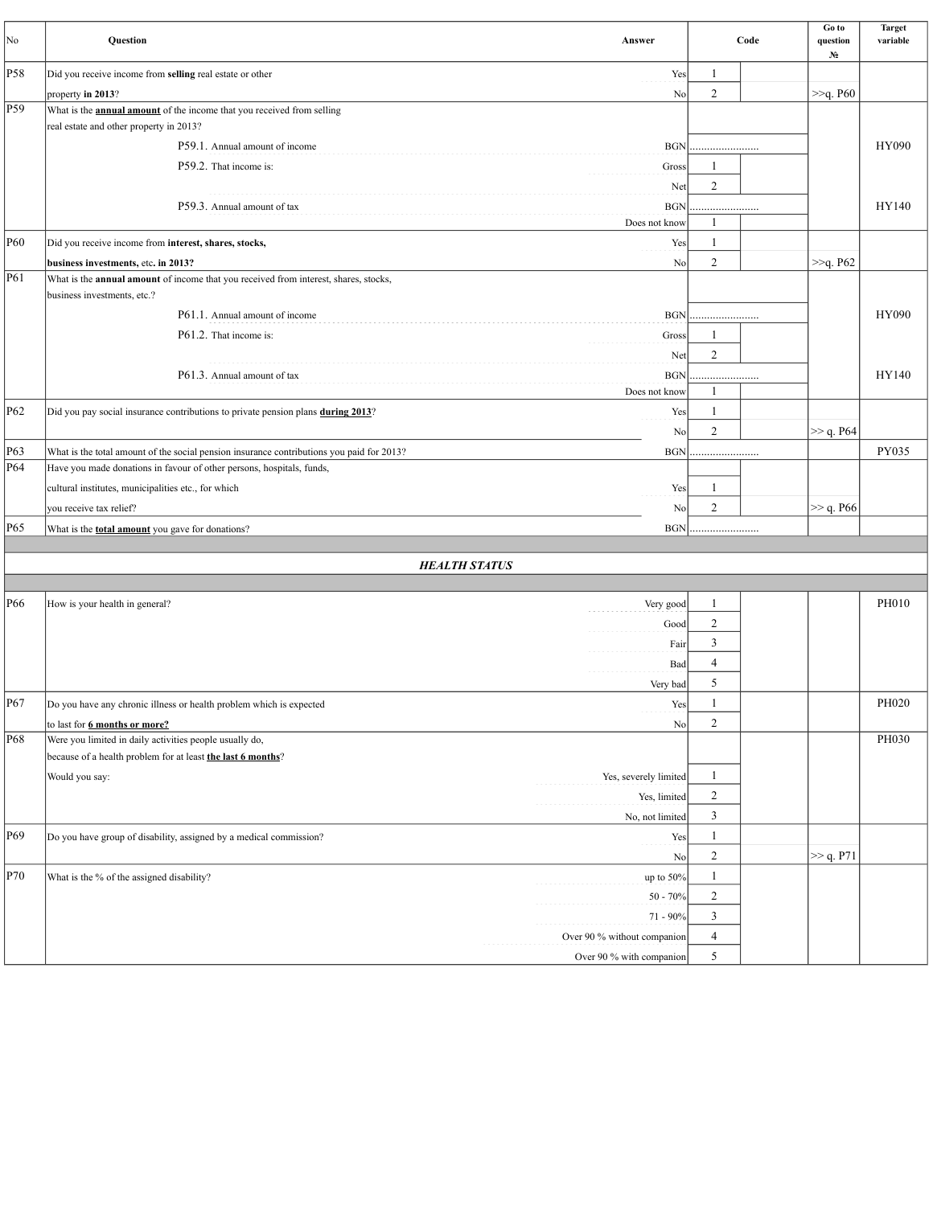| No              | Question                                                                                                                                                           | Answer                      |                | Code | Go to<br>question<br>$\mathbf{N}$ | <b>Target</b><br>variable |
|-----------------|--------------------------------------------------------------------------------------------------------------------------------------------------------------------|-----------------------------|----------------|------|-----------------------------------|---------------------------|
| P58             | Did you receive income from selling real estate or other                                                                                                           | Yes                         | -1             |      |                                   |                           |
|                 | property in 2013?                                                                                                                                                  | No                          | $\overline{2}$ |      | >>q. P60                          |                           |
| P59             | What is the <b>annual amount</b> of the income that you received from selling                                                                                      |                             |                |      |                                   |                           |
|                 | real estate and other property in 2013?                                                                                                                            |                             |                |      |                                   |                           |
|                 | P59.1. Annual amount of income                                                                                                                                     |                             | BGN            |      |                                   | <b>HY090</b>              |
|                 | P59.2. That income is:                                                                                                                                             | Gross                       | 1              |      |                                   |                           |
|                 |                                                                                                                                                                    | Net                         | $\overline{2}$ |      |                                   |                           |
|                 | P59.3. Annual amount of tax                                                                                                                                        | <b>BGN</b>                  |                |      |                                   | HY140                     |
|                 |                                                                                                                                                                    | Does not know               | 1              |      |                                   |                           |
| P60             | Did you receive income from interest, shares, stocks,                                                                                                              | Yes                         | 1              |      |                                   |                           |
|                 | business investments, etc. in 2013?                                                                                                                                | No                          | 2              |      | >>q. P62                          |                           |
| P61             | What is the <b>annual amount</b> of income that you received from interest, shares, stocks,<br>business investments, etc.?                                         |                             |                |      |                                   |                           |
|                 | P61.1. Annual amount of income                                                                                                                                     | <b>BGN</b>                  |                |      |                                   | <b>HY090</b>              |
|                 | P61.2. That income is:                                                                                                                                             |                             | 1              |      |                                   |                           |
|                 |                                                                                                                                                                    | Gross                       |                |      |                                   |                           |
|                 |                                                                                                                                                                    | Net                         | $\overline{2}$ |      |                                   |                           |
|                 | P61.3. Annual amount of tax                                                                                                                                        | <b>BGN</b><br>Does not know | -1             |      |                                   | HY140                     |
|                 |                                                                                                                                                                    |                             | 1              |      |                                   |                           |
| P62             | Did you pay social insurance contributions to private pension plans during 2013?                                                                                   | Yes                         |                |      |                                   |                           |
|                 |                                                                                                                                                                    | No                          | $\overline{2}$ |      | >> q. P64                         |                           |
| P63<br>P64      | What is the total amount of the social pension insurance contributions you paid for 2013?<br>Have you made donations in favour of other persons, hospitals, funds, | <b>BGN</b>                  |                |      |                                   | PY035                     |
|                 | cultural institutes, municipalities etc., for which                                                                                                                | Yes                         | 1              |      |                                   |                           |
|                 |                                                                                                                                                                    |                             | $\overline{2}$ |      |                                   |                           |
|                 | you receive tax relief?                                                                                                                                            | No                          |                |      | $\gg$ q. P66                      |                           |
| P <sub>65</sub> | What is the <b>total amount</b> you gave for donations?                                                                                                            | BGN                         |                |      |                                   |                           |
|                 | <b>HEALTH STATUS</b>                                                                                                                                               |                             |                |      |                                   |                           |
|                 |                                                                                                                                                                    |                             |                |      |                                   |                           |
| P66             | How is your health in general?                                                                                                                                     | Very good                   | 1              |      |                                   | PH010                     |
|                 |                                                                                                                                                                    | Good                        | $\overline{2}$ |      |                                   |                           |
|                 |                                                                                                                                                                    | Fair                        | 3              |      |                                   |                           |
|                 |                                                                                                                                                                    | Bad                         | $\overline{4}$ |      |                                   |                           |
|                 |                                                                                                                                                                    | Very bad                    | 5              |      |                                   |                           |
| P67             | Do you have any chronic illness or health problem which is expected                                                                                                | Yes                         | $\mathbf{1}$   |      |                                   | $\rm PH020$               |
|                 |                                                                                                                                                                    |                             | $\overline{c}$ |      |                                   |                           |
| P68             | to last for 6 months or more?<br>Were you limited in daily activities people usually do,                                                                           | No                          |                |      |                                   | PH030                     |
|                 | because of a health problem for at least the last 6 months?                                                                                                        |                             |                |      |                                   |                           |
|                 | Would you say:                                                                                                                                                     | Yes, severely limited       | $\mathbf{1}$   |      |                                   |                           |
|                 |                                                                                                                                                                    | Yes, limited                | $\overline{2}$ |      |                                   |                           |
|                 |                                                                                                                                                                    | No, not limited             | $\mathfrak z$  |      |                                   |                           |
| P69             | Do you have group of disability, assigned by a medical commission?                                                                                                 | Yes                         | 1              |      |                                   |                           |
|                 |                                                                                                                                                                    | No                          | $\overline{2}$ |      | $\gg$ q. P71                      |                           |
| P70             | What is the % of the assigned disability?                                                                                                                          | up to $50%$                 | 1              |      |                                   |                           |
|                 |                                                                                                                                                                    | $50 - 70%$                  | $\overline{c}$ |      |                                   |                           |
|                 |                                                                                                                                                                    | $71 - 90\%$                 | 3              |      |                                   |                           |
|                 |                                                                                                                                                                    |                             |                |      |                                   |                           |
|                 |                                                                                                                                                                    | Over 90 % without companion | $\overline{4}$ |      |                                   |                           |
|                 |                                                                                                                                                                    | Over 90 % with companion    | 5              |      |                                   |                           |